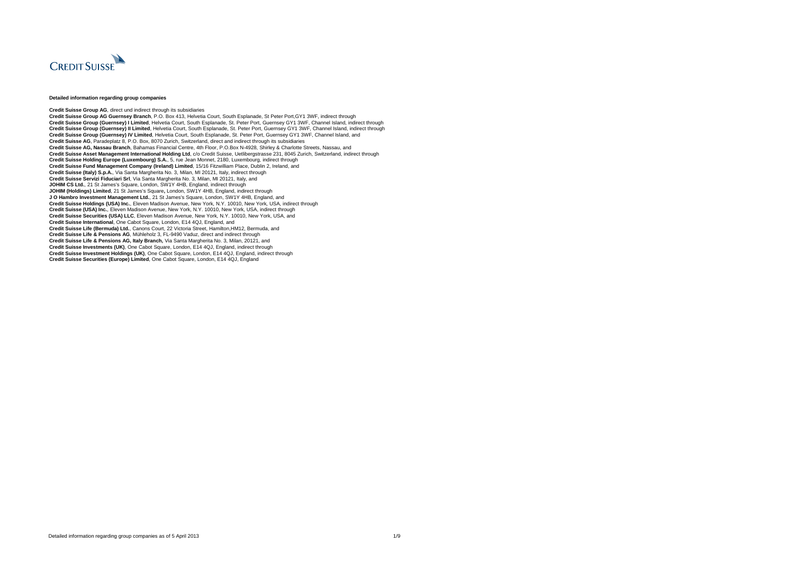

## **Detailed information regarding group companies**

**Credit Suisse Group AG**, direct und indirect through its subsidiaries **Credit Suisse Group AG Guernsey Branch**, P.O. Box 413, Helvetia Court, South Esplanade, St Peter Port,GY1 3WF, indirect through **Credit Suisse Group (Guernsey) I Limited**, Helvetia Court, South Esplanade, St. Peter Port, Guernsey GY1 3WF, Channel Island, indirect through **Credit Suisse Group (Guernsey) II Limited**, Helvetia Court, South Esplanade, St. Peter Port, Guernsey GY1 3WF, Channel Island, indirect through **Credit Suisse Group (Guernsey) IV Limited**, Helvetia Court, South Esplanade, St. Peter Port, Guernsey GY1 3WF, Channel Island, and **Credit Suisse AG**, Paradeplatz 8, P.O. Box, 8070 Zurich, Switzerland, direct and indirect through its subsidiaries **Credit Suisse AG, Nassau Branch**, Bahamas Financial Centre, 4th Floor, P.O.Box N-4928, Shirley & Charlotte Streets, Nassau, and **Credit Suisse Asset Management International Holding Ltd**, c/o Credit Suisse, Uetlibergstrasse 231, 8045 Zurich, Switzerland, indirect through **Credit Suisse Holding Europe (Luxembourg) S.A.**, 5, rue Jean Monnet, 2180, Luxembourg, indirect through **Credit Suisse Fund Management Company (Ireland) Limited**, 15/16 Fitzwilliam Place, Dublin 2, Ireland, and **Credit Suisse (Italy) S.p.A.**, Via Santa Margherita No. 3, Milan, MI 20121, Italy, indirect through **Credit Suisse Servizi Fiduciari Srl**, Via Santa Margherita No. 3, Milan, MI 20121, Italy, and **JOHIM CS Ltd.**, 21 St James's Square, London, SW1Y 4HB, England, indirect through **JOHIM (Holdings) Limited**, 21 St James's Square**,** London, SW1Y 4HB, England, indirect through **J O Hambro Investment Management Ltd.**, 21 St James's Square, London, SW1Y 4HB, England, and **Credit Suisse Holdings (USA) Inc.**, Eleven Madison Avenue, New York, N.Y. 10010, New York, USA, indirect through **Credit Suisse (USA) Inc.**, Eleven Madison Avenue, New York, N.Y. 10010, New York, USA, indirect through **Credit Suisse Securities (USA) LLC**, Eleven Madison Avenue, New York, N.Y. 10010, New York, USA, and **Credit Suisse International**, One Cabot Square, London, E14 4QJ, England, and **Credit Suisse Life (Bermuda) Ltd.**, Canons Court, 22 Victoria Street, Hamilton,HM12, Bermuda, and **Credit Suisse Life & Pensions AG**, Mühleholz 3, FL-9490 Vaduz, direct and indirect through **Credit Suisse Life & Pensions AG, Italy Branch,** Via Santa Margherita No. 3, Milan, 20121, and **Credit Suisse Investments (UK)**, One Cabot Square, London, E14 4QJ, England, indirect through **Credit Suisse Investment Holdings (UK)**, One Cabot Square, London, E14 4QJ, England, indirect through **Credit Suisse Securities (Europe) Limited**, One Cabot Square, London, E14 4QJ, England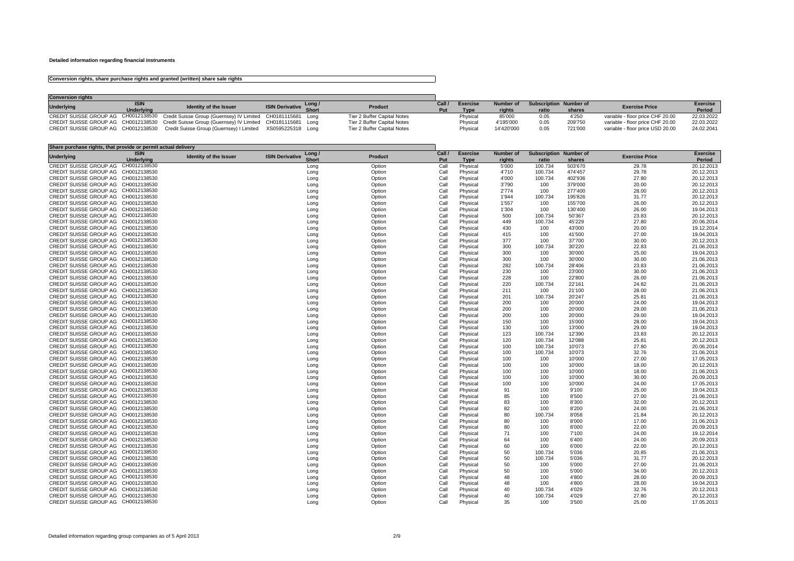## **Detailed information regarding financial instruments**

## **Conversion rights, share purchase rights and granted (written) share sale rights**

| <b>Conversion rights</b> |                   |                                                                                                 |                              |      |                             |        |                 |                  |       |                               |                                  |                 |
|--------------------------|-------------------|-------------------------------------------------------------------------------------------------|------------------------------|------|-----------------------------|--------|-----------------|------------------|-------|-------------------------------|----------------------------------|-----------------|
| <b>Underlying</b>        | <b>ISIN</b>       | Identity of the Issuer                                                                          |                              | Long | <b>Product</b>              | Call / | <b>Exercise</b> | <b>Number of</b> |       | <b>Subscription Number of</b> | <b>Exercise Price</b>            | <b>Exercise</b> |
|                          | <b>Underlying</b> |                                                                                                 | <b>ISIN Derivative</b> Short |      |                             |        | <b>Type</b>     | rights           | ratio | shares                        |                                  | <b>Period</b>   |
|                          |                   | CREDIT SUISSE GROUP AG CH0012138530 Credit Suisse Group (Guernsey) IV Limited CH0181115681 Long |                              |      | Tier 2 Buffer Capital Notes |        | Physical        | 85'000           |       | 4'250                         | variable - floor price CHF 20.00 | 22.03.2022      |
|                          |                   | CREDIT SUISSE GROUP AG CH0012138530 Credit Suisse Group (Guernsey) IV Limited CH0181115681 Long |                              |      | Tier 2 Buffer Capital Notes |        | Physical        | 4'195'000        |       | 209'750                       | variable - floor price CHF 20.00 | 22.03.2022      |
|                          |                   | CREDIT SUISSE GROUP AG CH0012138530 Credit Suisse Group (Guernsey) I Limited XS0595225318 Long  |                              |      | Tier 2 Buffer Capital Notes |        | Physical        | 14'420'000       | ).05  | 721'000                       | variable - floor price USD 20.00 | 24.02.2041      |

| Share purchase rights, that provide or permit actual delivery |                   |                               |                        |              |                |        |                 |                  |                               |         |                       |                 |
|---------------------------------------------------------------|-------------------|-------------------------------|------------------------|--------------|----------------|--------|-----------------|------------------|-------------------------------|---------|-----------------------|-----------------|
| <b>Underlying</b>                                             | <b>ISIN</b>       | <b>Identity of the Issuer</b> | <b>ISIN Derivative</b> | Long /       | <b>Product</b> | Call / | <b>Exercise</b> | <b>Number of</b> | <b>Subscription Number of</b> |         | <b>Exercise Price</b> | <b>Exercise</b> |
|                                                               | <b>Underlying</b> |                               |                        | <b>Short</b> |                | Put    | <b>Type</b>     | rights           | ratio                         | shares  |                       | Period          |
| <b>CREDIT SUISSE GROUP AG</b>                                 | CH0012138530      |                               |                        | Long         | Option         | Call   | Physical        | 5'000            | 100.734                       | 503'670 | 29.78                 | 20.12.2013      |
| CREDIT SUISSE GROUP AG CH0012138530                           |                   |                               |                        | Long         | Option         | Call   | Physical        | 4'710            | 100.734                       | 474'457 | 29.78                 | 20.12.2013      |
| CREDIT SUISSE GROUP AG CH0012138530                           |                   |                               |                        | Long         | Option         | Call   | Physical        | 4'000            | 100.734                       | 402'936 | 27.80                 | 20.12.2013      |
| CREDIT SUISSE GROUP AG CH0012138530                           |                   |                               |                        | Long         | Option         | Call   | Physical        | 3'790            | 100                           | 379'000 | 20.00                 | 20.12.2013      |
| CREDIT SUISSE GROUP AG CH0012138530                           |                   |                               |                        | Long         | Option         | Call   | Physical        | 2'774            | 100                           | 277'400 | 28.00                 | 20.12.2013      |
| CREDIT SUISSE GROUP AG CH0012138530                           |                   |                               |                        | Long         | Option         | Call   | Physical        | 1'944            | 100.734                       | 195'826 | 31.77                 | 20.12.2013      |
| CREDIT SUISSE GROUP AG CH0012138530                           |                   |                               |                        | Long         | Option         | Call   | Physical        | 1'557            | 100                           | 155'700 | 26.00                 | 20.12.2013      |
| CREDIT SUISSE GROUP AG CH0012138530                           |                   |                               |                        | Long         | Option         | Call   | Physical        | 1'304            | 100                           | 130'400 | 26.00                 | 19.04.2013      |
| CREDIT SUISSE GROUP AG CH0012138530                           |                   |                               |                        |              | Option         | Call   | Physical        | 500              | 100.734                       | 50'367  | 23.83                 | 20.12.2013      |
|                                                               |                   |                               |                        | Long         |                |        |                 |                  |                               |         |                       |                 |
| CREDIT SUISSE GROUP AG CH0012138530                           |                   |                               |                        | Long         | Option         | Call   | Physical        | 449              | 100.734                       | 45'229  | 27.80                 | 20.06.2014      |
| CREDIT SUISSE GROUP AG CH0012138530                           |                   |                               |                        | Long         | Option         | Call   | Physical        | 430              | 100                           | 43'000  | 20.00                 | 19.12.2014      |
| CREDIT SUISSE GROUP AG CH0012138530                           |                   |                               |                        | Long         | Option         | Call   | Physical        | 415              | 100                           | 41'500  | 27.00                 | 19.04.2013      |
| CREDIT SUISSE GROUP AG CH0012138530                           |                   |                               |                        | Long         | Option         | Call   | Physical        | 377              | 100                           | 37'700  | 30.00                 | 20.12.2013      |
| CREDIT SUISSE GROUP AG CH0012138530                           |                   |                               |                        | Long         | Option         | Call   | Physical        | 300              | 100.734                       | 30'220  | 22.83                 | 21.06.2013      |
| CREDIT SUISSE GROUP AG CH0012138530                           |                   |                               |                        | Long         | Option         | Call   | Physical        | 300              | 100                           | 30'000  | 25.00                 | 19.04.2013      |
| CREDIT SUISSE GROUP AG CH0012138530                           |                   |                               |                        | Long         | Option         | Call   | Physical        | 300              | 100                           | 30'000  | 30.00                 | 21.06.2013      |
| CREDIT SUISSE GROUP AG CH0012138530                           |                   |                               |                        | Long         | Option         | Call   | Physical        | 282              | 100.734                       | 28'406  | 23.83                 | 21.06.2013      |
| CREDIT SUISSE GROUP AG CH0012138530                           |                   |                               |                        | Long         | Option         | Call   | Physical        | 230              | 100                           | 23'000  | 30.00                 | 21.06.2013      |
| CREDIT SUISSE GROUP AG CH0012138530                           |                   |                               |                        | Long         | Option         | Call   | Physical        | 228              | 100                           | 22'800  | 26.00                 | 21.06.2013      |
| CREDIT SUISSE GROUP AG CH0012138530                           |                   |                               |                        | Long         | Option         | Call   | Physical        | 220              | 100.734                       | 22'161  | 24.82                 | 21.06.2013      |
| CREDIT SUISSE GROUP AG CH0012138530                           |                   |                               |                        | Long         | Option         | Call   | Physical        | 211              | 100                           | 21'100  | 28.00                 | 21.06.2013      |
| CREDIT SUISSE GROUP AG CH0012138530                           |                   |                               |                        | Long         | Option         | Call   | Physical        | 201              | 100.734                       | 20'247  | 25.81                 | 21.06.2013      |
| CREDIT SUISSE GROUP AG CH0012138530                           |                   |                               |                        | Long         | Option         | Call   | Physical        | 200              | 100                           | 20'000  | 24.00                 | 19.04.2013      |
| CREDIT SUISSE GROUP AG CH0012138530                           |                   |                               |                        | Long         | Option         | Call   | Physical        | 200              | 100                           | 20'000  | 29.00                 | 21.06.2013      |
| CREDIT SUISSE GROUP AG CH0012138530                           |                   |                               |                        | Long         | Option         | Call   | Physical        | 200              | 100                           | 20'000  | 29.00                 | 19.04.2013      |
| CREDIT SUISSE GROUP AG CH0012138530                           |                   |                               |                        |              |                | Call   |                 | 150              | 100                           | 15'000  | 28.00                 | 19.04.2013      |
|                                                               |                   |                               |                        | Long         | Option         |        | Physical        |                  |                               |         |                       |                 |
| CREDIT SUISSE GROUP AG CH0012138530                           |                   |                               |                        | Long         | Option         | Call   | Physical        | 130              | 100                           | 13'000  | 29.00                 | 19.04.2013      |
| CREDIT SUISSE GROUP AG CH0012138530                           |                   |                               |                        | Long         | Option         | Call   | Physical        | 123              | 100.734                       | 12'390  | 23.83                 | 20.12.2013      |
| CREDIT SUISSE GROUP AG CH0012138530                           |                   |                               |                        | Long         | Option         | Call   | Physical        | 120              | 100.734                       | 12'088  | 25.81                 | 20.12.2013      |
| CREDIT SUISSE GROUP AG CH0012138530                           |                   |                               |                        | Long         | Option         | Call   | Physical        | 100              | 100.734                       | 10'073  | 27.80                 | 20.06.2014      |
| CREDIT SUISSE GROUP AG CH0012138530                           |                   |                               |                        | Long         | Option         | Call   | Physical        | 100              | 100.734                       | 10'073  | 32.76                 | 21.06.2013      |
| CREDIT SUISSE GROUP AG CH0012138530                           |                   |                               |                        | Long         | Option         | Call   | Physical        | 100              | 100                           | 10'000  | 27.00                 | 17.05.2013      |
| CREDIT SUISSE GROUP AG CH0012138530                           |                   |                               |                        | Long         | Option         | Call   | Physical        | 100              | 100                           | 10'000  | 18.00                 | 20.12.2013      |
| CREDIT SUISSE GROUP AG CH0012138530                           |                   |                               |                        | Long         | Option         | Call   | Physical        | 100              | 100                           | 10'000  | 18.00                 | 21.06.2013      |
| CREDIT SUISSE GROUP AG CH0012138530                           |                   |                               |                        | Long         | Option         | Call   | Physical        | 100              | 100                           | 10'000  | 30.00                 | 20.09.2013      |
| CREDIT SUISSE GROUP AG CH0012138530                           |                   |                               |                        | Long         | Option         | Call   | Physical        | 100              | 100                           | 10'000  | 24.00                 | 17.05.2013      |
| CREDIT SUISSE GROUP AG CH0012138530                           |                   |                               |                        | Long         | Option         | Call   | Physical        | 91               | 100                           | 9'100   | 25.00                 | 19.04.2013      |
| CREDIT SUISSE GROUP AG CH0012138530                           |                   |                               |                        | Long         | Option         | Call   | Physical        | 85               | 100                           | 8'500   | 27.00                 | 21.06.2013      |
| CREDIT SUISSE GROUP AG CH0012138530                           |                   |                               |                        | Long         | Option         | Call   | Physical        | 83               | 100                           | 8'300   | 32.00                 | 20.12.2013      |
| CREDIT SUISSE GROUP AG CH0012138530                           |                   |                               |                        | Long         | Option         | Call   | Physical        | 82               | 100                           | 8'200   | 24.00                 | 21.06.2013      |
| CREDIT SUISSE GROUP AG CH0012138530                           |                   |                               |                        | Long         | Option         | Call   | Physical        | 80               | 100.734                       | 8'058   | 21.84                 | 20.12.2013      |
| CREDIT SUISSE GROUP AG CH0012138530                           |                   |                               |                        | Long         | Option         | Call   | Physical        | 80               | 100                           | 8'000   | 17.00                 | 21.06.2013      |
| CREDIT SUISSE GROUP AG CH0012138530                           |                   |                               |                        | Long         | Option         | Call   | Physical        | 80               | 100                           | 8'000   | 22.00                 | 20.09.2013      |
| CREDIT SUISSE GROUP AG CH0012138530                           |                   |                               |                        | Long         | Option         | Call   | Physical        | 71               | 100                           | 7'100   | 24.00                 | 19.12.2014      |
| CREDIT SUISSE GROUP AG CH0012138530                           |                   |                               |                        |              | Option         | Call   | Physical        | 64               | 100                           | 6'400   | 24.00                 | 20.09.2013      |
| CREDIT SUISSE GROUP AG CH0012138530                           |                   |                               |                        | Long         |                |        |                 |                  |                               |         |                       |                 |
|                                                               |                   |                               |                        | Long         | Option         | Call   | Physical        | 60               | 100                           | 6'000   | 22.00                 | 20.12.2013      |
| CREDIT SUISSE GROUP AG CH0012138530                           |                   |                               |                        | Long         | Option         | Call   | Physical        | 50               | 100.734                       | 5'036   | 20.85                 | 21.06.2013      |
| CREDIT SUISSE GROUP AG CH0012138530                           |                   |                               |                        | Long         | Option         | Call   | Physical        | 50               | 100.734                       | 5'036   | 31.77                 | 20.12.2013      |
| CREDIT SUISSE GROUP AG CH0012138530                           |                   |                               |                        | Long         | Option         | Call   | Physical        | 50               | 100                           | 5'000   | 27.00                 | 21.06.2013      |
| CREDIT SUISSE GROUP AG CH0012138530                           |                   |                               |                        | Long         | Option         | Call   | Physical        | 50               | 100                           | 5'000   | 34.00                 | 20.12.2013      |
| CREDIT SUISSE GROUP AG CH0012138530                           |                   |                               |                        | Long         | Option         | Call   | Physical        | 48               | 100                           | 4'800   | 28.00                 | 20.09.2013      |
| CREDIT SUISSE GROUP AG CH0012138530                           |                   |                               |                        | Long         | Option         | Call   | Physical        | 48               | 100                           | 4'800   | 28.00                 | 19.04.2013      |
| CREDIT SUISSE GROUP AG CH0012138530                           |                   |                               |                        | Long         | Option         | Call   | Physical        | 40               | 100.734                       | 4'029   | 32.76                 | 20.12.2013      |
| CREDIT SUISSE GROUP AG CH0012138530                           |                   |                               |                        | Long         | Option         | Call   | Physical        | 40               | 100.734                       | 4'029   | 27.80                 | 20.12.2013      |
| CREDIT SUISSE GROUP AG CH0012138530                           |                   |                               |                        | Long         | Option         | Call   | Physical        | 35               | 100                           | 3'500   | 25.00                 | 17.05.2013      |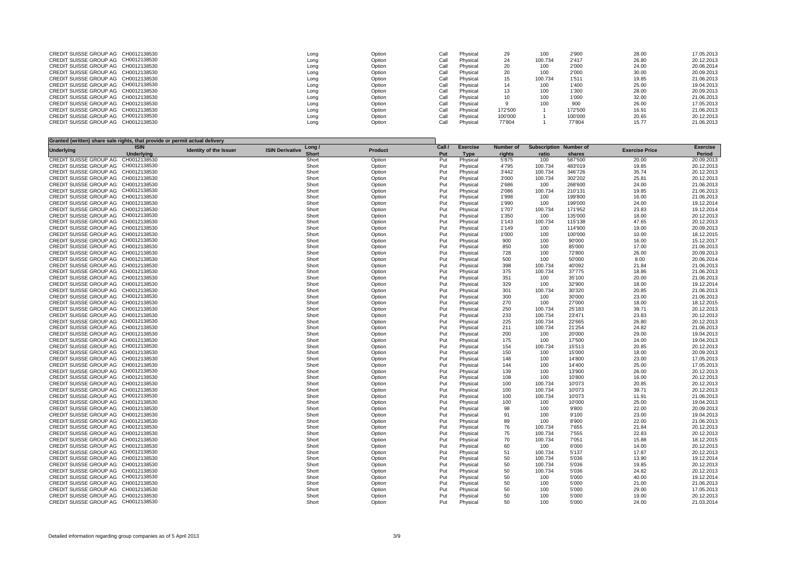| CREDIT SUISSE GROUP AG CH0012138530 | Long | Option | Call | Physical | 29      | 100     | 2'900   | 28.00 | 17.05.2013 |
|-------------------------------------|------|--------|------|----------|---------|---------|---------|-------|------------|
| CREDIT SUISSE GROUP AG CH0012138530 | Long | Option | Call | Physical | 24      | 100.734 | 2'417   | 26.80 | 20.12.2013 |
| CREDIT SUISSE GROUP AG CH0012138530 | Long | Option | Call | Physical | 20      | 100     | 2'000   | 24.00 | 20.06.2014 |
| CREDIT SUISSE GROUP AG CH0012138530 | Long | Option | Call | Physical | 20      | 100     | 2'000   | 30.00 | 20.09.2013 |
| CREDIT SUISSE GROUP AG CH0012138530 | Long | Option | Call | Physical |         | 100.734 | 1'511   | 19.85 | 21.06.2013 |
| CREDIT SUISSE GROUP AG CH0012138530 | Long | Option | Call | Physical |         | 100     | 1'400   | 25.00 | 19.04.2013 |
| CREDIT SUISSE GROUP AG CH0012138530 | Long | Option | Call | Physical |         | 100     | 1'300   | 28.00 | 20.09.2013 |
| CREDIT SUISSE GROUP AG CH0012138530 | Long | Option | Call | Physical |         | 100     | 1'000   | 32.00 | 21.06.2013 |
| CREDIT SUISSE GROUP AG CH0012138530 | Long | Option | Call | Physical |         | 100     | 900     | 26.00 | 17.05.2013 |
| CREDIT SUISSE GROUP AG CH0012138530 | Long | Option | Call | Physical | 172'500 |         | 172'500 | 16.91 | 21.06.2013 |
| CREDIT SUISSE GROUP AG CH0012138530 | Long | Option | Call | Physical | 100'000 |         | 100'000 | 20.65 | 20.12.2013 |
| CREDIT SUISSE GROUP AG CH0012138530 | Long | Option | Call | Physical | 77'804  |         | 77'804  | 15.77 | 21.06.2013 |
|                                     |      |        |      |          |         |         |         |       |            |

| Granted (written) share sale rights, that provide or permit actual delivery |                   |                               |                                  |                |        |                 |                  |                               |         |                       |                 |
|-----------------------------------------------------------------------------|-------------------|-------------------------------|----------------------------------|----------------|--------|-----------------|------------------|-------------------------------|---------|-----------------------|-----------------|
| <b>Underlying</b>                                                           | <b>ISIN</b>       | <b>Identity of the Issuer</b> | Long /<br><b>ISIN Derivative</b> | <b>Product</b> | Call / | <b>Exercise</b> | <b>Number of</b> | <b>Subscription Number of</b> |         | <b>Exercise Price</b> | <b>Exercise</b> |
|                                                                             | <b>Underlying</b> |                               | <b>Short</b>                     |                | Put    | <b>Type</b>     | rights           | ratio                         | shares  |                       | Period          |
| CREDIT SUISSE GROUP AG CH0012138530                                         |                   |                               | Short                            | Option         | Put    | Physical        | 5'875            | 100                           | 587'500 | 20.00                 | 20.09.2013      |
| CREDIT SUISSE GROUP AG CH0012138530                                         |                   |                               | Short                            | Option         | Put    | Physical        | 4'795            | 100.734                       | 483'019 | 19.85                 | 20.12.2013      |
| CREDIT SUISSE GROUP AG CH0012138530                                         |                   |                               | Short                            | Option         | Put    | Physical        | 3'442            | 100.734                       | 346'726 | 35.74                 | 20.12.2013      |
| CREDIT SUISSE GROUP AG CH0012138530                                         |                   |                               | Short                            | Option         | Put    | Physical        | 3'000            | 100.734                       | 302'202 | 25.81                 | 20.12.2013      |
| CREDIT SUISSE GROUP AG CH0012138530                                         |                   |                               | Short                            | Option         | Put    | Physical        | 2'686            | 100                           | 268'600 | 24.00                 | 21.06.2013      |
| CREDIT SUISSE GROUP AG CH0012138530                                         |                   |                               | Short                            | Option         | Put    | Physical        | 2'086            | 100.734                       | 210'131 | 19.85                 | 21.06.2013      |
| CREDIT SUISSE GROUP AG CH0012138530                                         |                   |                               | Short                            | Option         | Put    | Physical        | 1'998            | 100                           | 199'800 | 16.00                 | 21.06.2013      |
| CREDIT SUISSE GROUP AG CH0012138530                                         |                   |                               | Short                            | Option         | Put    | Physical        | 1'990            | 100                           | 199'000 | 24.00                 | 19.12.2014      |
| CREDIT SUISSE GROUP AG CH0012138530                                         |                   |                               | Short                            | Option         | Put    | Physical        | 1'707            | 100.734                       | 171'952 | 23.83                 | 19.12.2014      |
| CREDIT SUISSE GROUP AG CH0012138530                                         |                   |                               | Short                            | Option         | Put    | Physical        | 1'350            | 100                           | 135'000 | 18.00                 | 20.12.2013      |
| CREDIT SUISSE GROUP AG CH0012138530                                         |                   |                               | Short                            | Option         | Put    | Physical        | 1'143            | 100.734                       | 115'138 | 47.65                 | 20.12.2013      |
| CREDIT SUISSE GROUP AG CH0012138530                                         |                   |                               | Short                            | Option         | Put    | Physical        | 1'149            | 100                           | 114'900 | 19.00                 | 20.09.2013      |
| CREDIT SUISSE GROUP AG CH0012138530                                         |                   |                               | Short                            | Option         | Put    | Physical        | 1'000            | 100                           | 100'000 | 10.00                 | 18.12.2015      |
| CREDIT SUISSE GROUP AG CH0012138530                                         |                   |                               | Short                            | Option         | Put    | Physical        | 900              | 100                           | 90'000  | 16.00                 | 15.12.2017      |
| CREDIT SUISSE GROUP AG CH0012138530                                         |                   |                               | Short                            | Option         | Put    | Physical        | 850              | 100                           | 85'000  | 17.00                 | 21.06.2013      |
| CREDIT SUISSE GROUP AG CH0012138530                                         |                   |                               | Short                            | Option         | Put    | Physical        | 728              | 100                           | 72'800  | 26.00                 | 20.09.2013      |
| CREDIT SUISSE GROUP AG CH0012138530                                         |                   |                               | Short                            | Option         | Put    | Physical        | 500              | 100                           | 50'000  | 8.00                  | 20.06.2014      |
| CREDIT SUISSE GROUP AG CH0012138530                                         |                   |                               | Short                            | Option         | Put    | Physical        | 398              | 100.734                       | 40'092  | 21.84                 | 21.06.2013      |
| CREDIT SUISSE GROUP AG CH0012138530                                         |                   |                               | Short                            | Option         | Put    | Physical        | 375              | 100.734                       | 37'775  | 18.86                 | 21.06.2013      |
| CREDIT SUISSE GROUP AG CH0012138530                                         |                   |                               | Short                            | Option         | Put    | Physical        | 351              | 100                           | 35'100  | 20.00                 | 21.06.2013      |
| CREDIT SUISSE GROUP AG CH0012138530                                         |                   |                               | Short                            | Option         | Put    | Physical        | 329              | 100                           | 32'900  | 18.00                 | 19.12.2014      |
| CREDIT SUISSE GROUP AG CH0012138530                                         |                   |                               | Short                            | Option         | Put    | Physical        | 301              | 100.734                       | 30'320  | 20.85                 | 21.06.2013      |
| CREDIT SUISSE GROUP AG CH0012138530                                         |                   |                               | Short                            | Option         | Put    | Physical        | 300              | 100                           | 30'000  | 23.00                 | 21.06.2013      |
| CREDIT SUISSE GROUP AG CH0012138530                                         |                   |                               | Short                            | Option         | Put    | Physical        | 270              | 100                           | 27'000  | 18.00                 | 18.12.2015      |
| CREDIT SUISSE GROUP AG CH0012138530                                         |                   |                               | Short                            | Option         | Put    | Physical        | 250              | 100.734                       | 25'183  | 39.71                 | 20.12.2013      |
| CREDIT SUISSE GROUP AG CH0012138530                                         |                   |                               | Short                            | Option         | Put    | Physical        | 233              | 100.734                       | 23'471  | 23.83                 | 20.12.2013      |
| CREDIT SUISSE GROUP AG CH0012138530                                         |                   |                               | Short                            | Option         | Put    | Physical        | 225              | 100.734                       | 22'665  | 26.80                 | 20.12.2013      |
| CREDIT SUISSE GROUP AG CH0012138530                                         |                   |                               | Short                            | Option         | Put    | Physical        | 211              | 100.734                       | 21'254  | 24.82                 | 21.06.2013      |
| CREDIT SUISSE GROUP AG CH0012138530                                         |                   |                               | Short                            | Option         | Put    | Physical        | 200              | 100                           | 20'000  | 29.00                 | 19.04.2013      |
| CREDIT SUISSE GROUP AG CH0012138530                                         |                   |                               | Short                            | Option         | Put    | Physical        | 175              | 100                           | 17'500  | 24.00                 | 19.04.2013      |
| CREDIT SUISSE GROUP AG CH0012138530                                         |                   |                               | Short                            | Option         | Put    | Physical        | 154              | 100.734                       | 15'513  | 20.85                 | 20.12.2013      |
| CREDIT SUISSE GROUP AG CH0012138530                                         |                   |                               | Short                            | Option         | Put    | Physical        | 150              | 100                           | 15'000  | 18.00                 | 20.09.2013      |
| CREDIT SUISSE GROUP AG CH0012138530                                         |                   |                               | Short                            | Option         | Put    | Physical        | 148              | 100                           | 14'800  | 23.00                 | 17.05.2013      |
| CREDIT SUISSE GROUP AG CH0012138530                                         |                   |                               |                                  |                |        |                 | 144              | 100                           |         |                       | 17.05.2013      |
|                                                                             |                   |                               | Short<br>Short                   | Option         | Put    | Physical        |                  |                               | 14'400  | 25.00                 |                 |
| CREDIT SUISSE GROUP AG CH0012138530                                         |                   |                               |                                  | Option         | Put    | Physical        | 139              | 100                           | 13'900  | 26.00                 | 20.12.2013      |
| CREDIT SUISSE GROUP AG CH0012138530                                         |                   |                               | Short                            | Option         | Put    | Physical        | 108              | 100                           | 10'800  | 16.00                 | 20.12.2013      |
| CREDIT SUISSE GROUP AG CH0012138530                                         |                   |                               | Short                            | Option         | Put    | Physical        | 100              | 100.734                       | 10'073  | 20.85                 | 20.12.2013      |
| CREDIT SUISSE GROUP AG CH0012138530                                         |                   |                               | Short                            | Option         | Put    | Physical        | 100              | 100.734                       | 10'073  | 39.71                 | 20.12.2013      |
| CREDIT SUISSE GROUP AG CH0012138530                                         |                   |                               | Short                            | Option         | Put    | Physical        | 100              | 100.734                       | 10'073  | 11.91                 | 21.06.2013      |
| CREDIT SUISSE GROUP AG CH0012138530                                         |                   |                               | Short                            | Option         | Put    | Physical        | 100              | 100                           | 10'000  | 25.00                 | 19.04.2013      |
| CREDIT SUISSE GROUP AG CH0012138530                                         |                   |                               | Short                            | Option         | Put    | Physical        | 98               | 100                           | 9'800   | 22.00                 | 20.09.2013      |
| CREDIT SUISSE GROUP AG CH0012138530                                         |                   |                               | Short                            | Option         | Put    | Physical        | 91               | 100                           | 9'100   | 23.00                 | 19.04.2013      |
| CREDIT SUISSE GROUP AG CH0012138530                                         |                   |                               | Short                            | Option         | Put    | Physical        | 89               | 100                           | 8'900   | 22.00                 | 21.06.2013      |
| CREDIT SUISSE GROUP AG CH0012138530                                         |                   |                               | Short                            | Option         | Put    | Physical        | 76               | 100.734                       | 7'655   | 21.84                 | 20.12.2013      |
| CREDIT SUISSE GROUP AG CH0012138530                                         |                   |                               | Short                            | Option         | Put    | Physical        | 75               | 100.734                       | 7'555   | 22.83                 | 20.12.2013      |
| CREDIT SUISSE GROUP AG CH0012138530                                         |                   |                               | Short                            | Option         | Put    | Physical        | 70               | 100.734                       | 7'051   | 15.88                 | 18.12.2015      |
| CREDIT SUISSE GROUP AG CH0012138530                                         |                   |                               | Short                            | Option         | Put    | Physical        | 60               | 100                           | 6'000   | 14.00                 | 20.12.2013      |
| CREDIT SUISSE GROUP AG CH0012138530                                         |                   |                               | Short                            | Option         | Put    | Physical        | 51               | 100.734                       | 5'137   | 17.87                 | 20.12.2013      |
| CREDIT SUISSE GROUP AG CH0012138530                                         |                   |                               | Short                            | Option         | Put    | Physical        | 50               | 100.734                       | 5'036   | 13.90                 | 19.12.2014      |
| CREDIT SUISSE GROUP AG CH0012138530                                         |                   |                               | Short                            | Option         | Put    | Physical        | 50               | 100.734                       | 5'036   | 19.85                 | 20.12.2013      |
| CREDIT SUISSE GROUP AG CH0012138530                                         |                   |                               | Short                            | Option         | Put    | Physical        | 50               | 100.734                       | 5'036   | 24.82                 | 20.12.2013      |
| CREDIT SUISSE GROUP AG CH0012138530                                         |                   |                               | Short                            | Option         | Put    | Physical        | 50               | 100                           | 5'000   | 40.00                 | 19.12.2014      |
| CREDIT SUISSE GROUP AG CH0012138530                                         |                   |                               | Short                            | Option         | Put    | Physical        | 50               | 100                           | 5'000   | 21.00                 | 21.06.2013      |
| CREDIT SUISSE GROUP AG CH0012138530                                         |                   |                               | Short                            | Option         | Put    | Physical        | 50               | 100                           | 5'000   | 29.00                 | 17.05.2013      |
| CREDIT SUISSE GROUP AG CH0012138530                                         |                   |                               | Short                            | Option         | Put    | Physical        | 50               | 100                           | 5'000   | 19.00                 | 20.12.2013      |
| CREDIT SUISSE GROUP AG CH0012138530                                         |                   |                               | Short                            | Option         | Put    | Physical        | 50               | 100                           | 5'000   | 24.00                 | 21.03.2014      |
|                                                                             |                   |                               |                                  |                |        |                 |                  |                               |         |                       |                 |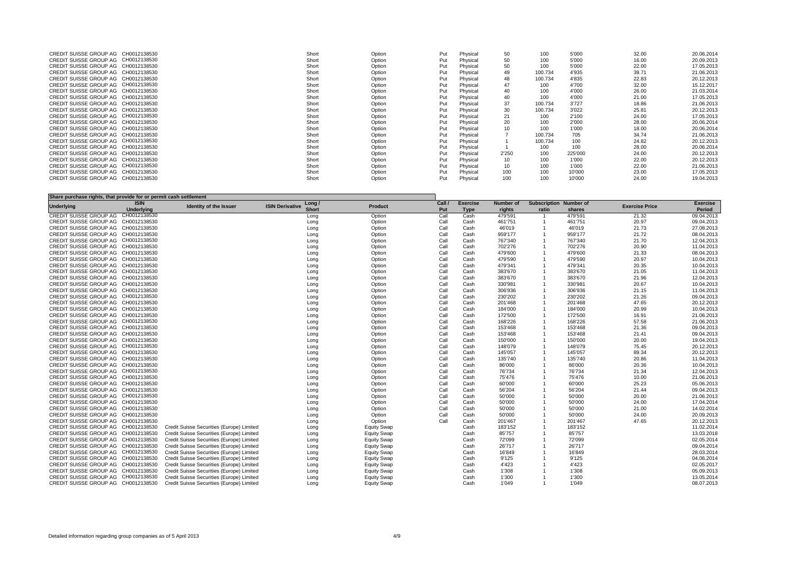| CREDIT SUISSE GROUP AG CH0012138530 | Short | Option | Put | Physical | 50    | 100     | 5'000   | 32.00 | 20.06.2014 |
|-------------------------------------|-------|--------|-----|----------|-------|---------|---------|-------|------------|
| CREDIT SUISSE GROUP AG CH0012138530 | Short | Option | Put | Physical | 50    | 100     | 5'000   | 16.00 | 20.09.2013 |
| CREDIT SUISSE GROUP AG CH0012138530 | Short | Option | Put | Physical | 50    |         | 5'000   | 22.00 | 17.05.2013 |
| CREDIT SUISSE GROUP AG CH0012138530 | Short | Option | Put | Physical |       | 100.734 | 4'935   | 39.71 | 21.06.2013 |
| CREDIT SUISSE GROUP AG CH0012138530 | Short | Option | Put | Physical | 48    | 100.734 | 4'835   | 22.83 | 20.12.2013 |
| CREDIT SUISSE GROUP AG CH0012138530 | Short | Option | Put | Physical | 47    | 100     | 4'700   | 32.00 | 15.12.2017 |
| CREDIT SUISSE GROUP AG CH0012138530 | Short | Option | Put | Physical | 40    | 100     | 4'000   | 26.00 | 21.03.2014 |
| CREDIT SUISSE GROUP AG CH0012138530 | Short | Option | Put | Physical | 40    |         | 4'000   | 21.00 | 17.05.2013 |
| CREDIT SUISSE GROUP AG CH0012138530 | Short | Option | Put | Physical | 37    | 100.734 | 3'727   | 18.86 | 21.06.2013 |
| CREDIT SUISSE GROUP AG CH0012138530 | Short | Option | Put | Physical | 30    | 100.734 | 3'022   | 25.81 | 20.12.2013 |
| CREDIT SUISSE GROUP AG CH0012138530 | Short | Option | Put | Physical |       | 100     | 2'100   | 24.00 | 17.05.2013 |
| CREDIT SUISSE GROUP AG CH0012138530 | Short | Option | Put | Physical | 20    |         | 2'000   | 28.00 | 20.06.2014 |
| CREDIT SUISSE GROUP AG CH0012138530 | Short | Option | Put | Physical |       |         | 1'000   | 18.00 | 20.06.2014 |
| CREDIT SUISSE GROUP AG CH0012138530 | Short | Option | Put | Physical |       | 100.734 | 705     | 34.74 | 21.06.2013 |
| CREDIT SUISSE GROUP AG CH0012138530 | Short | Option | Put | Physical |       | 100.734 | 100     | 24.82 | 20.12.2013 |
| CREDIT SUISSE GROUP AG CH0012138530 | Short | Option | Put | Physical |       | 100     | 100     | 28.00 | 20.06.2014 |
| CREDIT SUISSE GROUP AG CH0012138530 | Short | Option | Put | Physical | 2'250 | 100     | 225'000 | 24.00 | 20.12.2013 |
| CREDIT SUISSE GROUP AG CH0012138530 | Short | Option | Put | Physical |       | 100     | 1'000   | 22.00 | 20.12.2013 |
| CREDIT SUISSE GROUP AG CH0012138530 | Short | Option | Put | Physical |       |         | 1'000   | 22.00 | 21.06.2013 |
| CREDIT SUISSE GROUP AG CH0012138530 | Short | Option | Put | Physical | 100   |         | 10'000  | 23.00 | 17.05.2013 |
| CREDIT SUISSE GROUP AG CH0012138530 | Short | Option | Put | Physical | 100   |         | 10'000  | 24.00 | 19.04.2013 |
|                                     |       |        |     |          |       |         |         |       |            |

| Share purchase rights, that provide for or permit cash settlement |                   |                                           |                                  |                    |        |                 |                  |       |                               |                       |                 |
|-------------------------------------------------------------------|-------------------|-------------------------------------------|----------------------------------|--------------------|--------|-----------------|------------------|-------|-------------------------------|-----------------------|-----------------|
|                                                                   | <b>ISIN</b>       | Identity of the Issuer                    | Long /<br><b>ISIN Derivative</b> |                    | Call / | <b>Exercise</b> | <b>Number of</b> |       | <b>Subscription Number of</b> | <b>Exercise Price</b> | <b>Exercise</b> |
| <b>Underlying</b>                                                 | <b>Underlying</b> |                                           | <b>Short</b>                     | <b>Product</b>     | Put    | <b>Type</b>     | rights           | ratio | shares                        |                       | Period          |
| <b>CREDIT SUISSE GROUP AG</b>                                     | CH0012138530      |                                           | Long                             | Option             | Call   | Cash            | 479'591          |       | 479'591                       | 21.32                 | 09.04.2013      |
| CREDIT SUISSE GROUP AG CH0012138530                               |                   |                                           | Long                             | Option             | Call   | Cash            | 461'751          |       | 461'751                       | 20.97                 | 09.04.2013      |
| CREDIT SUISSE GROUP AG CH0012138530                               |                   |                                           | Long                             | Option             | Call   | Cash            | 46'019           |       | 46'019                        | 21.73                 | 27.08.2013      |
| CREDIT SUISSE GROUP AG CH0012138530                               |                   |                                           | Long                             | Option             | Call   | Cash            | 959'177          |       | 959'177                       | 21.72                 | 08.04.2013      |
| CREDIT SUISSE GROUP AG CH0012138530                               |                   |                                           | Long                             | Option             | Call   | Cash            | 767'340          |       | 767'340                       | 21.70                 | 12.04.2013      |
| CREDIT SUISSE GROUP AG CH0012138530                               |                   |                                           | Long                             | Option             | Call   | Cash            | 702'276          |       | 702'276                       | 20.90                 | 11.04.2013      |
| CREDIT SUISSE GROUP AG CH0012138530                               |                   |                                           | Long                             | Option             | Call   | Cash            | 479'600          |       | 479'600                       | 21.33                 | 08.04.2013      |
| CREDIT SUISSE GROUP AG CH0012138530                               |                   |                                           | Long                             | Option             | Call   | Cash            | 479'590          |       | 479'590                       | 20.97                 | 10.04.2013      |
| CREDIT SUISSE GROUP AG CH0012138530                               |                   |                                           | Long                             | Option             | Call   | Cash            | 479'341          |       | 479'341                       | 20.35                 | 10.04.2013      |
| CREDIT SUISSE GROUP AG CH0012138530                               |                   |                                           | Long                             | Option             | Call   | Cash            | 383'670          |       | 383'670                       | 21.05                 | 11.04.2013      |
| CREDIT SUISSE GROUP AG CH0012138530                               |                   |                                           | Long                             | Option             | Call   | Cash            | 383'670          |       | 383'670                       | 21.96                 | 12.04.2013      |
| CREDIT SUISSE GROUP AG CH0012138530                               |                   |                                           | Long                             | Option             | Call   | Cash            | 330'981          |       | 330'981                       | 20.67                 | 10.04.2013      |
| CREDIT SUISSE GROUP AG CH0012138530                               |                   |                                           | Long                             | Option             | Call   | Cash            | 306'936          |       | 306'936                       | 21.15                 | 11.04.2013      |
| CREDIT SUISSE GROUP AG CH0012138530                               |                   |                                           | Long                             | Option             | Call   | Cash            | 230'202          |       | 230'202                       | 21.26                 | 09.04.2013      |
| CREDIT SUISSE GROUP AG CH0012138530                               |                   |                                           | Long                             | Option             | Call   | Cash            | 201'468          |       | 201'468                       | 47.65                 | 20.12.2013      |
| CREDIT SUISSE GROUP AG CH0012138530                               |                   |                                           | Long                             | Option             | Call   | Cash            | 184'000          |       | 184'000                       | 20.99                 | 10.04.2013      |
| CREDIT SUISSE GROUP AG CH0012138530                               |                   |                                           | Long                             | Option             | Call   | Cash            | 172'500          |       | 172'500                       | 16.91                 | 21.06.2013      |
| CREDIT SUISSE GROUP AG CH0012138530                               |                   |                                           | Long                             | Option             | Call   | Cash            | 168'226          |       | 168'226                       | 57.58                 | 21.06.2013      |
| CREDIT SUISSE GROUP AG CH0012138530                               |                   |                                           | Long                             | Option             | Call   | Cash            | 153'468          |       | 153'468                       | 21.36                 | 09.04.2013      |
| CREDIT SUISSE GROUP AG CH0012138530                               |                   |                                           | Long                             | Option             | Call   | Cash            | 153'468          |       | 153'468                       | 21.41                 | 09.04.2013      |
| CREDIT SUISSE GROUP AG CH0012138530                               |                   |                                           | Long                             | Option             | Call   | Cash            | 150'000          |       | 150'000                       | 20.00                 | 19.04.2013      |
| CREDIT SUISSE GROUP AG CH0012138530                               |                   |                                           | Long                             | Option             | Call   | Cash            | 148'079          |       | 148'079                       | 75.45                 | 20.12.2013      |
| CREDIT SUISSE GROUP AG CH0012138530                               |                   |                                           | Long                             | Option             | Call   | Cash            | 145'057          |       | 145'057                       | 89.34                 | 20.12.2013      |
| CREDIT SUISSE GROUP AG CH0012138530                               |                   |                                           | Long                             | Option             | Call   | Cash            | 135'740          |       | 135'740                       | 20.86                 | 11.04.2013      |
| CREDIT SUISSE GROUP AG CH0012138530                               |                   |                                           | Long                             | Option             | Call   | Cash            | 86'000           |       | 86'000                        | 20.36                 | 10.04.2013      |
| CREDIT SUISSE GROUP AG CH0012138530                               |                   |                                           | Long                             | Option             | Call   | Cash            | 76'734           |       | 76'734                        | 21.34                 | 12.04.2013      |
| CREDIT SUISSE GROUP AG CH0012138530                               |                   |                                           | Long                             | Option             | Call   | Cash            | 75'476           |       | 75'476                        | 10.00                 | 21.06.2013      |
| CREDIT SUISSE GROUP AG CH0012138530                               |                   |                                           | Long                             | Option             | Call   | Cash            | 60'000           |       | 60'000                        | 25.23                 | 05.06.2013      |
| CREDIT SUISSE GROUP AG CH0012138530                               |                   |                                           | Long                             | Option             | Call   | Cash            | 56'204           |       | 56'204                        | 21.44                 | 09.04.2013      |
| CREDIT SUISSE GROUP AG CH0012138530                               |                   |                                           | Long                             | Option             | Call   | Cash            | 50'000           |       | 50'000                        | 20.00                 | 21.06.2013      |
| CREDIT SUISSE GROUP AG CH0012138530                               |                   |                                           | Long                             | Option             | Call   | Cash            | 50'000           |       | 50'000                        | 24.00                 | 17.04.2014      |
| CREDIT SUISSE GROUP AG CH0012138530                               |                   |                                           | Long                             | Option             | Call   | Cash            | 50'000           |       | 50'000                        | 21.00                 | 14.02.2014      |
| CREDIT SUISSE GROUP AG CH0012138530                               |                   |                                           | Long                             | Option             | Call   | Cash            | 50'000           |       | 50'000                        | 24.00                 | 20.09.2013      |
| CREDIT SUISSE GROUP AG CH0012138530                               |                   |                                           | Long                             | Option             | Call   | Cash            | 201'467          |       | 201'467                       | 47.65                 | 20.12.2013      |
| CREDIT SUISSE GROUP AG CH0012138530                               |                   | Credit Suisse Securities (Europe) Limited | Long                             | <b>Equity Swap</b> |        | Cash            | 183'152          |       | 183'152                       |                       | 11.02.2014      |
| CREDIT SUISSE GROUP AG CH0012138530                               |                   | Credit Suisse Securities (Europe) Limited | Long                             | <b>Equity Swap</b> |        | Cash            | 85'757           |       | 85'757                        |                       | 13.03.2018      |
| CREDIT SUISSE GROUP AG CH0012138530                               |                   | Credit Suisse Securities (Europe) Limited | Long                             | <b>Equity Swap</b> |        | Cash            | 72'099           |       | 72'099                        |                       | 02.05.2014      |
| CREDIT SUISSE GROUP AG CH0012138530                               |                   | Credit Suisse Securities (Europe) Limited | Long                             | <b>Equity Swap</b> |        | Cash            | 26'717           |       | 26'717                        |                       | 09.04.2014      |
| CREDIT SUISSE GROUP AG CH0012138530                               |                   | Credit Suisse Securities (Europe) Limited | Long                             | <b>Equity Swap</b> |        | Cash            | 16'849           |       | 16'849                        |                       | 28.03.2014      |
| CREDIT SUISSE GROUP AG CH0012138530                               |                   | Credit Suisse Securities (Europe) Limited | Long                             | <b>Equity Swap</b> |        | Cash            | 9'125            |       | 9'125                         |                       | 04.06.2014      |
| CREDIT SUISSE GROUP AG CH0012138530                               |                   | Credit Suisse Securities (Europe) Limited | Long                             | <b>Equity Swap</b> |        | Cash            | 4'423            |       | 4'423                         |                       | 02.05.2017      |
| CREDIT SUISSE GROUP AG CH0012138530                               |                   | Credit Suisse Securities (Europe) Limited | Long                             | <b>Equity Swap</b> |        | Cash            | 1'308            |       | 1'308                         |                       | 05.09.2013      |
| CREDIT SUISSE GROUP AG CH0012138530                               |                   | Credit Suisse Securities (Europe) Limited | Long                             | <b>Equity Swap</b> |        | Cash            | 1'300            |       | 1'300                         |                       | 13.05.2014      |
| CREDIT SUISSE GROUP AG CH0012138530                               |                   | Credit Suisse Securities (Europe) Limited | Long                             | <b>Equity Swap</b> |        | Cash            | 1'049            |       | 1'049                         |                       | 08.07.2013      |
|                                                                   |                   |                                           |                                  |                    |        |                 |                  |       |                               |                       |                 |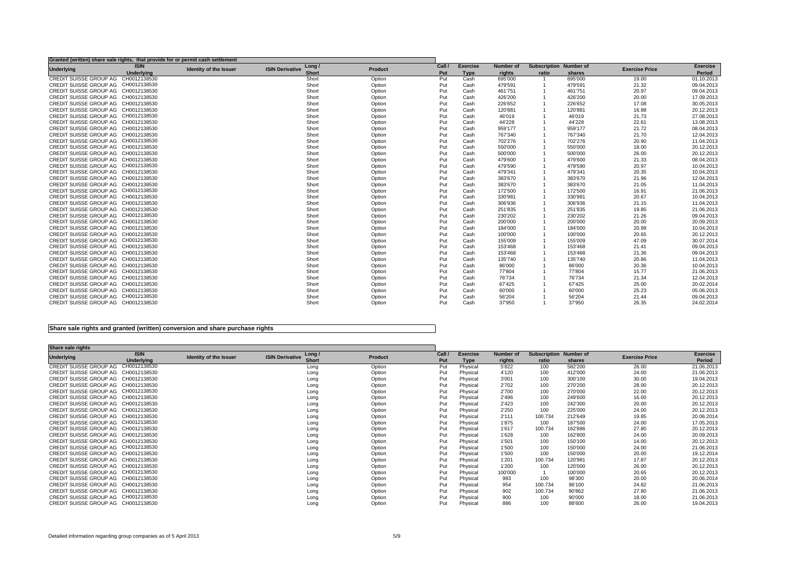| Granted (written) share sale rights, that provide for or permit cash settlement |                   |                        |                                  |                |        |                 |                  |                               |         |                       |                 |
|---------------------------------------------------------------------------------|-------------------|------------------------|----------------------------------|----------------|--------|-----------------|------------------|-------------------------------|---------|-----------------------|-----------------|
| <b>Underlying</b>                                                               | <b>ISIN</b>       | Identity of the Issuer | Long /<br><b>ISIN Derivative</b> | <b>Product</b> | Call / | <b>Exercise</b> | <b>Number of</b> | <b>Subscription Number of</b> |         | <b>Exercise Price</b> | <b>Exercise</b> |
|                                                                                 | <b>Underlying</b> |                        | <b>Short</b>                     |                | Put    | <b>Type</b>     | rights           | ratio                         | shares  |                       | Period          |
| CREDIT SUISSE GROUP AG CH0012138530                                             |                   |                        | Short                            | Option         | Put    | Cash            | 695'000          |                               | 695'000 | 19.00                 | 01.10.2013      |
| CREDIT SUISSE GROUP AG CH0012138530                                             |                   |                        | Short                            | Option         | Put    | Cash            | 479'591          |                               | 479'591 | 21.32                 | 09.04.2013      |
| CREDIT SUISSE GROUP AG CH0012138530                                             |                   |                        | Short                            | Option         | Put    | Cash            | 461'751          |                               | 461'751 | 20.97                 | 09.04.2013      |
| CREDIT SUISSE GROUP AG CH0012138530                                             |                   |                        | Short                            | Option         | Put    | Cash            | 426'200          |                               | 426'200 | 20.00                 | 17.09.2013      |
| CREDIT SUISSE GROUP AG CH0012138530                                             |                   |                        | Short                            | Option         | Put    | Cash            | 226'652          |                               | 226'652 | 17.08                 | 30.05.2013      |
| CREDIT SUISSE GROUP AG CH0012138530                                             |                   |                        | Short                            | Option         | Put    | Cash            | 120'881          |                               | 120'881 | 16.88                 | 20.12.2013      |
| CREDIT SUISSE GROUP AG CH0012138530                                             |                   |                        | Short                            | Option         | Put    | Cash            | 46'019           |                               | 46'019  | 21.73                 | 27.08.2013      |
| CREDIT SUISSE GROUP AG CH0012138530                                             |                   |                        | Short                            | Option         | Put    | Cash            | 44'228           |                               | 44'228  | 22.61                 | 13.08.2013      |
| CREDIT SUISSE GROUP AG CH0012138530                                             |                   |                        | Short                            | Option         | Put    | Cash            | 959'177          |                               | 959'177 | 21.72                 | 08.04.2013      |
| CREDIT SUISSE GROUP AG CH0012138530                                             |                   |                        | Short                            | Option         | Put    | Cash            | 767'340          |                               | 767'340 | 21.70                 | 12.04.2013      |
| CREDIT SUISSE GROUP AG CH0012138530                                             |                   |                        | Short                            | Option         | Put    | Cash            | 702'276          |                               | 702'276 | 20.90                 | 11.04.2013      |
| CREDIT SUISSE GROUP AG CH0012138530                                             |                   |                        | Short                            | Option         | Put    | Cash            | 550'000          |                               | 550'000 | 18.00                 | 20.12.2013      |
| CREDIT SUISSE GROUP AG CH0012138530                                             |                   |                        | Short                            | Option         | Put    | Cash            | 500'000          |                               | 500'000 | 26.00                 | 20.12.2013      |
| CREDIT SUISSE GROUP AG CH0012138530                                             |                   |                        | Short                            | Option         | Put    | Cash            | 479'600          |                               | 479'600 | 21.33                 | 08.04.2013      |
| CREDIT SUISSE GROUP AG CH0012138530                                             |                   |                        | Short                            | Option         | Put    | Cash            | 479'590          |                               | 479'590 | 20.97                 | 10.04.2013      |
| CREDIT SUISSE GROUP AG CH0012138530                                             |                   |                        | Short                            | Option         | Put    | Cash            | 479'341          |                               | 479'341 | 20.35                 | 10.04.2013      |
| CREDIT SUISSE GROUP AG CH0012138530                                             |                   |                        | Short                            | Option         | Put    | Cash            | 383'670          |                               | 383'670 | 21.96                 | 12.04.2013      |
| CREDIT SUISSE GROUP AG CH0012138530                                             |                   |                        | Short                            | Option         | Put    | Cash            | 383'670          |                               | 383'670 | 21.05                 | 11.04.2013      |
| CREDIT SUISSE GROUP AG CH0012138530                                             |                   |                        | Short                            | Option         | Put    | Cash            | 172'500          |                               | 172'500 | 16.91                 | 21.06.2013      |
| CREDIT SUISSE GROUP AG CH0012138530                                             |                   |                        | Short                            | Option         | Put    | Cash            | 330'981          |                               | 330'981 | 20.67                 | 10.04.2013      |
| CREDIT SUISSE GROUP AG CH0012138530                                             |                   |                        | Short                            | Option         | Put    | Cash            | 306'936          |                               | 306'936 | 21.15                 | 11.04.2013      |
| CREDIT SUISSE GROUP AG CH0012138530                                             |                   |                        | Short                            | Option         | Put    | Cash            | 251'835          |                               | 251'835 | 19.85                 | 21.06.2013      |
| CREDIT SUISSE GROUP AG CH0012138530                                             |                   |                        | Short                            | Option         | Put    | Cash            | 230'202          |                               | 230'202 | 21.26                 | 09.04.2013      |
| CREDIT SUISSE GROUP AG CH0012138530                                             |                   |                        | Short                            | Option         | Put    | Cash            | 200'000          |                               | 200'000 | 20.00                 | 20.09.2013      |
| CREDIT SUISSE GROUP AG CH0012138530                                             |                   |                        | Short                            | Option         | Put    | Cash            | 184'000          |                               | 184'000 | 20.99                 | 10.04.2013      |
| CREDIT SUISSE GROUP AG CH0012138530                                             |                   |                        | Short                            | Option         | Put    | Cash            | 100'000          |                               | 100'000 | 20.65                 | 20.12.2013      |
| CREDIT SUISSE GROUP AG CH0012138530                                             |                   |                        | Short                            | Option         | Put    | Cash            | 155'009          |                               | 155'009 | 47.09                 | 30.07.2014      |
| CREDIT SUISSE GROUP AG CH0012138530                                             |                   |                        | Short                            | Option         | Put    | Cash            | 153'468          |                               | 153'468 | 21.41                 | 09.04.2013      |
| CREDIT SUISSE GROUP AG CH0012138530                                             |                   |                        | Short                            | Option         | Put    | Cash            | 153'468          |                               | 153'468 | 21.36                 | 09.04.2013      |
| CREDIT SUISSE GROUP AG CH0012138530                                             |                   |                        | Short                            | Option         | Put    | Cash            | 135'740          |                               | 135'740 | 20.86                 | 11.04.2013      |
| CREDIT SUISSE GROUP AG CH0012138530                                             |                   |                        | Short                            | Option         | Put    | Cash            | 86'000           |                               | 86'000  | 20.36                 | 10.04.2013      |
| CREDIT SUISSE GROUP AG CH0012138530                                             |                   |                        | Short                            | Option         | Put    | Cash            | 77'804           |                               | 77'804  | 15.77                 | 21.06.2013      |
| CREDIT SUISSE GROUP AG CH0012138530                                             |                   |                        | Short                            | Option         | Put    | Cash            | 76'734           |                               | 76'734  | 21.34                 | 12.04.2013      |
| CREDIT SUISSE GROUP AG CH0012138530                                             |                   |                        | Short                            | Option         | Put    | Cash            | 67'425           |                               | 67'425  | 25.00                 | 20.02.2014      |
| CREDIT SUISSE GROUP AG CH0012138530                                             |                   |                        | Short                            | Option         | Put    | Cash            | 60'000           |                               | 60'000  | 25.23                 | 05.06.2013      |
| CREDIT SUISSE GROUP AG CH0012138530                                             |                   |                        | Short                            | Option         | Put    | Cash            | 56'204           |                               | 56'204  | 21.44                 | 09.04.2013      |
| CREDIT SUISSE GROUP AG CH0012138530                                             |                   |                        | Short                            | Option         | Put    | Cash            | 37'950           |                               | 37'950  | 26.35                 | 24.02.2014      |
|                                                                                 |                   |                        |                                  |                |        |                 |                  |                               |         |                       |                 |

## **Share sale rights and granted (written) conversion and share purchase rights**

| Share sale rights                   |                   |                        |                        |              |                |      |                 |                  |                               |         |                       |                 |
|-------------------------------------|-------------------|------------------------|------------------------|--------------|----------------|------|-----------------|------------------|-------------------------------|---------|-----------------------|-----------------|
| <b>Underlying</b>                   | <b>ISIN</b>       | Identity of the Issuer | <b>ISIN Derivative</b> | Long /       | <b>Product</b> | Call | <b>Exercise</b> | <b>Number of</b> | <b>Subscription Number of</b> |         | <b>Exercise Price</b> | <b>Exercise</b> |
|                                     | <b>Underlying</b> |                        |                        | <b>Short</b> |                | Put  | <b>Type</b>     | rights           | ratio                         | shares  |                       | <b>Period</b>   |
| <b>CREDIT SUISSE GROUP AG</b>       | CH0012138530      |                        |                        | Long         | Option         | Put  | Physical        | 5'822            | 100                           | 582'200 | 26.00                 | 21.06.2013      |
| CREDIT SUISSE GROUP AG              | CH0012138530      |                        |                        | Long         | Option         | Put  | Physical        | 4'120            | 100                           | 412'000 | 24.00                 | 21.06.2013      |
| <b>CREDIT SUISSE GROUP AG</b>       | CH0012138530      |                        |                        | Long         | Option         | Put  | Physical        | 3'001            | 100                           | 300'100 | 30.00                 | 19.04.2013      |
| CREDIT SUISSE GROUP AG              | CH0012138530      |                        |                        | Long         | Option         | Put  | Physical        | 2'702            | 100                           | 270'200 | 28.00                 | 20.12.2013      |
| <b>CREDIT SUISSE GROUP AG</b>       | CH0012138530      |                        |                        | Long         | Option         | Put  | Physical        | 2'700            | 100                           | 270'000 | 22.00                 | 20.12.2013      |
| <b>CREDIT SUISSE GROUP AG</b>       | CH0012138530      |                        |                        | Long         | Option         | Put  | Physical        | 2'496            | 100                           | 249'600 | 16.00                 | 20.12.2013      |
| CREDIT SUISSE GROUP AG              | CH0012138530      |                        |                        | Long         | Option         | Put  | Physical        | 2'423            | 100                           | 242'300 | 20.00                 | 20.12.2013      |
| <b>CREDIT SUISSE GROUP AG</b>       | CH0012138530      |                        |                        | Long         | Option         | Put  | Physical        | 2'250            | 100                           | 225'000 | 24.00                 | 20.12.2013      |
| CREDIT SUISSE GROUP AG              | CH0012138530      |                        |                        | Long         | Option         | Put  | Physical        | 2'111            | 100.734                       | 212'649 | 19.85                 | 20.06.2014      |
| CREDIT SUISSE GROUP AG              | CH0012138530      |                        |                        | Long         | Option         | Put  | Physical        | 1'875            | 100                           | 187'500 | 24.00                 | 17.05.2013      |
| <b>CREDIT SUISSE GROUP AG</b>       | CH0012138530      |                        |                        | Long         | Option         | Put  | Physical        | 1'617            | 100.734                       | 162'886 | 27.80                 | 20.12.2013      |
| CREDIT SUISSE GROUP AG              | CH0012138530      |                        |                        | Long         | Option         | Put  | Physical        | 1'628            | 100                           | 162'800 | 24.00                 | 20.09.2013      |
| <b>CREDIT SUISSE GROUP AG</b>       | CH0012138530      |                        |                        | Long         | Option         | Put  | Physical        | 1'501            | 100                           | 150'100 | 14.00                 | 20.12.2013      |
| CREDIT SUISSE GROUP AG              | CH0012138530      |                        |                        | Long         | Option         | Put  | Physical        | 1'500            | 100                           | 150'000 | 24.00                 | 21.06.2013      |
| <b>CREDIT SUISSE GROUP AG</b>       | CH0012138530      |                        |                        | Long         | Option         | Put  | Physical        | 1'500            | 100                           | 150'000 | 20.00                 | 19.12.2014      |
| <b>CREDIT SUISSE GROUP AG</b>       | CH0012138530      |                        |                        | Long         | Option         | Put  | Physical        | 1'201            | 100.734                       | 120'981 | 17.87                 | 20.12.2013      |
| CREDIT SUISSE GROUP AG              | CH0012138530      |                        |                        | Long         | Option         | Put  | Physical        | 1'200            | 100                           | 120'000 | 26.00                 | 20.12.2013      |
| CREDIT SUISSE GROUP AG              | CH0012138530      |                        |                        | Long         | Option         | Put  | Physical        | 100'000          |                               | 100'000 | 20.65                 | 20.12.2013      |
| CREDIT SUISSE GROUP AG              | CH0012138530      |                        |                        | Long         | Option         | Put  | Physical        | 983              | 100                           | 98'300  | 20.00                 | 20.06.2014      |
| CREDIT SUISSE GROUP AG              | CH0012138530      |                        |                        | Long         | Option         | Put  | Physical        | 954              | 100.734                       | 96'100  | 24.82                 | 21.06.2013      |
| CREDIT SUISSE GROUP AG              | CH0012138530      |                        |                        | Long         | Option         | Put  | Physical        | 902              | 100.734                       | 90'862  | 27.80                 | 21.06.2013      |
| CREDIT SUISSE GROUP AG              | CH0012138530      |                        |                        | Long         | Option         | Put  | Physical        | 900              | 100                           | 90'000  | 18.00                 | 21.06.2013      |
| CREDIT SUISSE GROUP AG CH0012138530 |                   |                        |                        | Long         | Option         | Put  | Physical        | 886              | 100                           | 88'600  | 26.00                 | 19.04.2013      |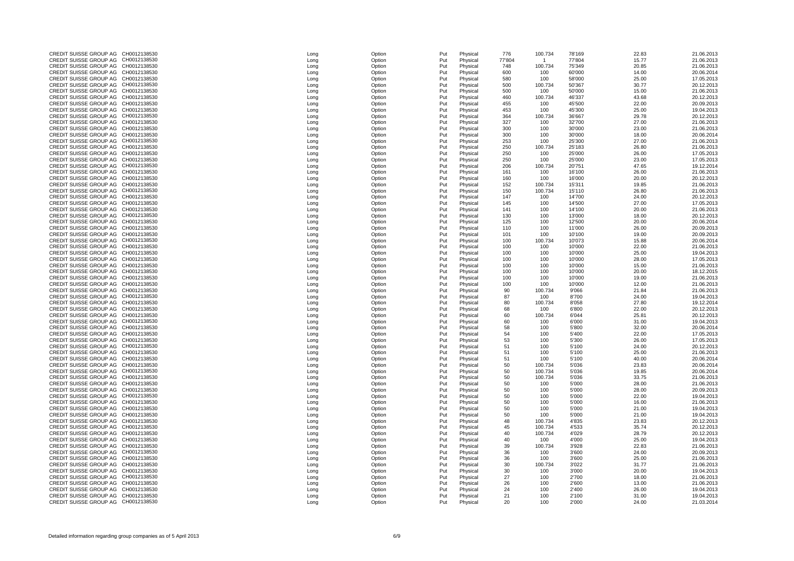| CREDIT SUISSE GROUP AG              | CH0012138530 | Long | Option | Put | Physical | 776    |
|-------------------------------------|--------------|------|--------|-----|----------|--------|
| CREDIT SUISSE GROUP AG              | CH0012138530 | Long | Option | Put | Physical | 77'804 |
|                                     |              |      |        |     |          |        |
| CREDIT SUISSE GROUP AG              | CH0012138530 | Long | Option | Put | Physical | 748    |
| CREDIT SUISSE GROUP AG              | CH0012138530 | Long | Option | Put | Physical | 600    |
| CREDIT SUISSE GROUP AG              | CH0012138530 | Long | Option | Put | Physical | 580    |
| CREDIT SUISSE GROUP AG              | CH0012138530 | Long | Option | Put | Physical | 500    |
| CREDIT SUISSE GROUP AG              | CH0012138530 |      | Option | Put | Physical | 500    |
|                                     |              | Long |        |     |          |        |
| CREDIT SUISSE GROUP AG              | CH0012138530 | Long | Option | Put | Physical | 460    |
| CREDIT SUISSE GROUP AG              | CH0012138530 | Long | Option | Put | Physical | 455    |
| CREDIT SUISSE GROUP AG              | CH0012138530 | Long | Option | Put | Physical | 453    |
| CREDIT SUISSE GROUP AG              | CH0012138530 | Long | Option | Put | Physical | 364    |
| CREDIT SUISSE GROUP AG              | CH0012138530 |      |        |     |          |        |
|                                     |              | Long | Option | Put | Physical | 327    |
| CREDIT SUISSE GROUP AG              | CH0012138530 | Long | Option | Put | Physical | 300    |
| CREDIT SUISSE GROUP AG              | CH0012138530 | Long | Option | Put | Physical | 300    |
| CREDIT SUISSE GROUP AG              | CH0012138530 | Long | Option | Put | Physical | 253    |
| CREDIT SUISSE GROUP AG              | CH0012138530 | Long | Option | Put | Physical | 250    |
|                                     |              |      |        |     |          |        |
| CREDIT SUISSE GROUP AG              | CH0012138530 | Long | Option | Put | Physical | 250    |
| CREDIT SUISSE GROUP AG              | CH0012138530 | Long | Option | Put | Physical | 250    |
| CREDIT SUISSE GROUP AG              | CH0012138530 | Long | Option | Put | Physical | 206    |
| CREDIT SUISSE GROUP AG              | CH0012138530 | Long | Option | Put | Physical | 161    |
| CREDIT SUISSE GROUP AG              | CH0012138530 | Long | Option | Put | Physical | 160    |
|                                     |              |      |        |     |          |        |
| CREDIT SUISSE GROUP AG              | CH0012138530 | Long | Option | Put | Physical | 152    |
| CREDIT SUISSE GROUP AG              | CH0012138530 | Long | Option | Put | Physical | 150    |
| CREDIT SUISSE GROUP AG              | CH0012138530 | Long | Option | Put | Physical | 147    |
| CREDIT SUISSE GROUP AG              | CH0012138530 | Long | Option | Put | Physical | 145    |
| CREDIT SUISSE GROUP AG              | CH0012138530 |      | Option | Put | Physical | 141    |
|                                     |              | Long |        |     |          |        |
| CREDIT SUISSE GROUP AG              | CH0012138530 | Long | Option | Put | Physical | 130    |
| CREDIT SUISSE GROUP AG              | CH0012138530 | Long | Option | Put | Physical | 125    |
| CREDIT SUISSE GROUP AG              | CH0012138530 | Long | Option | Put | Physical | 110    |
| CREDIT SUISSE GROUP AG              | CH0012138530 | Long | Option | Put | Physical | 101    |
|                                     |              |      |        |     |          |        |
| CREDIT SUISSE GROUP AG              | CH0012138530 | Long | Option | Put | Physical | 100    |
| CREDIT SUISSE GROUP AG              | CH0012138530 | Long | Option | Put | Physical | 100    |
| CREDIT SUISSE GROUP AG              | CH0012138530 | Long | Option | Put | Physical | 100    |
| CREDIT SUISSE GROUP AG              | CH0012138530 | Long | Option | Put | Physical | 100    |
| CREDIT SUISSE GROUP AG              | CH0012138530 | Long | Option | Put | Physical | 100    |
|                                     |              |      |        |     |          |        |
| CREDIT SUISSE GROUP AG CH0012138530 |              | Long | Option | Put | Physical | 100    |
| CREDIT SUISSE GROUP AG              | CH0012138530 | Long | Option | Put | Physical | 100    |
| CREDIT SUISSE GROUP AG              | CH0012138530 | Long | Option | Put | Physical | 100    |
| CREDIT SUISSE GROUP AG              | CH0012138530 | Long | Option | Put | Physical | 90     |
| CREDIT SUISSE GROUP AG              | CH0012138530 | Long | Option | Put | Physical | 87     |
|                                     |              |      |        |     |          |        |
| CREDIT SUISSE GROUP AG              | CH0012138530 | Long | Option | Put | Physical | 80     |
| CREDIT SUISSE GROUP AG              | CH0012138530 | Long | Option | Put | Physical | 68     |
| CREDIT SUISSE GROUP AG              | CH0012138530 | Long | Option | Put | Physical | 60     |
| CREDIT SUISSE GROUP AG              | CH0012138530 | Long | Option | Put | Physical | 60     |
| CREDIT SUISSE GROUP AG              | CH0012138530 | Long | Option | Put | Physical | 58     |
| CREDIT SUISSE GROUP AG              |              |      |        |     |          |        |
|                                     | CH0012138530 | Long | Option | Put | Physical | 54     |
| CREDIT SUISSE GROUP AG              | CH0012138530 | Long | Option | Put | Physical | 53     |
| CREDIT SUISSE GROUP AG              | CH0012138530 | Long | Option | Put | Physical | 51     |
| CREDIT SUISSE GROUP AG              | CH0012138530 | Long | Option | Put | Physical | 51     |
| CREDIT SUISSE GROUP AG              | CH0012138530 | Long | Option | Put | Physical | 51     |
| CREDIT SUISSE GROUP AG              | CH0012138530 |      |        |     |          |        |
|                                     |              | Long | Option | Put | Physical | 50     |
| CREDIT SUISSE GROUP AG              | CH0012138530 | Long | Option | Put | Physical | 50     |
| CREDIT SUISSE GROUP AG              | CH0012138530 | Long | Option | Put | Physical | 50     |
| CREDIT SUISSE GROUP AG              | CH0012138530 | Long | Option | Put | Physical | 50     |
| CREDIT SUISSE GROUP AG              | CH0012138530 | Long | Option | Put | Physical | 50     |
| CREDIT SUISSE GROUP AG              | CH0012138530 |      | Option | Put | Physical | 50     |
|                                     |              | Long |        |     |          |        |
| CREDIT SUISSE GROUP AG              | CH0012138530 | Long | Option | Put | Physical | 50     |
| CREDIT SUISSE GROUP AG              | CH0012138530 | Long | Option | Put | Physical | 50     |
| CREDIT SUISSE GROUP AG              | CH0012138530 | Long | Option | Put | Physical | 50     |
| CREDIT SUISSE GROUP AG              | CH0012138530 | Long | Option | Put | Physical | 48     |
| CREDIT SUISSE GROUP AG              | CH0012138530 |      |        | Put |          |        |
|                                     |              | Long | Option |     | Physical | 45     |
| CREDIT SUISSE GROUP AG              | CH0012138530 | Long | Option | Put | Physical | 40     |
| CREDIT SUISSE GROUP AG              | CH0012138530 | Long | Option | Put | Physical | 40     |
| CREDIT SUISSE GROUP AG              | CH0012138530 | Long | Option | Put | Physical | 39     |
| CREDIT SUISSE GROUP AG              | CH0012138530 | Long | Option | Put | Physical | 36     |
| CREDIT SUISSE GROUP AG              | CH0012138530 |      | Option | Put |          | 36     |
|                                     |              | Long |        |     | Physical |        |
| CREDIT SUISSE GROUP AG              | CH0012138530 | Long | Option | Put | Physical | $30\,$ |
| CREDIT SUISSE GROUP AG              | CH0012138530 | Long | Option | Put | Physical | $30\,$ |
| CREDIT SUISSE GROUP AG              | CH0012138530 | Long | Option | Put | Physical | 27     |
| CREDIT SUISSE GROUP AG              | CH0012138530 | Long | Option | Put | Physical | 26     |
| CREDIT SUISSE GROUP AG              | CH0012138530 | Long | Option | Put | Physical | 24     |
|                                     |              |      |        |     |          |        |
| CREDIT SUISSE GROUP AG              | CH0012138530 | Long | Option | Put | Physical | 21     |
| CREDIT SUISSE GROUP AG              | CH0012138530 | Long | Option | Put | Physical | 20     |
|                                     |              |      |        |     |          |        |
|                                     |              |      |        |     |          |        |

| CREDIT SUISSE GROUP AG CH0012138530 | Long | Option | Put | Physical | 776    | 100.734 | 78'169 | 22.83 | 21.06.2013 |
|-------------------------------------|------|--------|-----|----------|--------|---------|--------|-------|------------|
| CREDIT SUISSE GROUP AG CH0012138530 | Long | Option | Put | Physical | 77'804 |         | 77'804 | 15.77 | 21.06.2013 |
|                                     |      |        |     |          |        |         |        |       |            |
| CREDIT SUISSE GROUP AG CH0012138530 | Long | Option | Put | Physical | 748    | 100.734 | 75'349 | 20.85 | 21.06.2013 |
| CREDIT SUISSE GROUP AG CH0012138530 | Long | Option | Put | Physical | 600    | 100     | 60'000 | 14.00 | 20.06.2014 |
| CREDIT SUISSE GROUP AG CH0012138530 | Long | Option | Put | Physical | 580    | 100     | 58'000 | 25.00 | 17.05.2013 |
|                                     |      |        |     |          |        |         |        |       |            |
| CREDIT SUISSE GROUP AG CH0012138530 | Long | Option | Put | Physical | 500    | 100.734 | 50'367 | 30.77 | 20.12.2013 |
| CREDIT SUISSE GROUP AG CH0012138530 | Long | Option | Put | Physical | 500    | 100     | 50'000 | 15.00 | 21.06.2013 |
| CREDIT SUISSE GROUP AG CH0012138530 |      |        |     |          |        |         |        |       |            |
|                                     | Long | Option | Put | Physical | 460    | 100.734 | 46'337 | 43.68 | 20.12.2013 |
| CREDIT SUISSE GROUP AG CH0012138530 | Long | Option | Put | Physical | 455    | 100     | 45'500 | 22.00 | 20.09.2013 |
| CREDIT SUISSE GROUP AG CH0012138530 | Long | Option | Put | Physical | 453    | 100     | 45'300 | 25.00 | 19.04.2013 |
|                                     |      |        |     |          |        |         |        |       |            |
| CREDIT SUISSE GROUP AG CH0012138530 | Long | Option | Put | Physical | 364    | 100.734 | 36'667 | 29.78 | 20.12.2013 |
| CREDIT SUISSE GROUP AG CH0012138530 | Long | Option | Put | Physical | 327    | 100     | 32'700 | 27.00 | 21.06.2013 |
|                                     |      |        |     |          |        |         |        |       |            |
| CREDIT SUISSE GROUP AG CH0012138530 | Long | Option | Put | Physical | 300    | 100     | 30'000 | 23.00 | 21.06.2013 |
| CREDIT SUISSE GROUP AG CH0012138530 | Long | Option | Put | Physical | 300    | 100     | 30'000 | 18.00 | 20.06.2014 |
| CREDIT SUISSE GROUP AG CH0012138530 | Long | Option | Put | Physical | 253    | 100     | 25'300 | 27.00 | 21.06.2013 |
|                                     |      |        |     |          |        |         |        |       |            |
| CREDIT SUISSE GROUP AG CH0012138530 | Long | Option | Put | Physical | 250    | 100.734 | 25'183 | 26.80 | 21.06.2013 |
| CREDIT SUISSE GROUP AG CH0012138530 | Long | Option | Put | Physical | 250    | 100     | 25'000 | 26.00 | 17.05.2013 |
|                                     |      |        |     |          |        |         |        |       |            |
| CREDIT SUISSE GROUP AG CH0012138530 | Long | Option | Put | Physical | 250    | 100     | 25'000 | 23.00 | 17.05.2013 |
| CREDIT SUISSE GROUP AG CH0012138530 | Long | Option | Put | Physical | 206    | 100.734 | 20'751 | 47.65 | 19.12.2014 |
| CREDIT SUISSE GROUP AG CH0012138530 |      |        |     |          |        |         | 16'100 |       | 21.06.2013 |
|                                     | Long | Option | Put | Physical | 161    | 100     |        | 26.00 |            |
| CREDIT SUISSE GROUP AG CH0012138530 | Long | Option | Put | Physical | 160    | 100     | 16'000 | 20.00 | 20.12.2013 |
| CREDIT SUISSE GROUP AG CH0012138530 | Long | Option | Put | Physical | 152    | 100.734 | 15'311 | 19.85 | 21.06.2013 |
|                                     |      |        |     |          |        |         |        |       |            |
| CREDIT SUISSE GROUP AG CH0012138530 | Long | Option | Put | Physical | 150    | 100.734 | 15'110 | 26.80 | 21.06.2013 |
| CREDIT SUISSE GROUP AG CH0012138530 | Long | Option | Put | Physical | 147    | 100     | 14'700 | 24.00 | 20.12.2013 |
|                                     |      |        |     |          |        |         |        |       |            |
| CREDIT SUISSE GROUP AG CH0012138530 | Long | Option | Put | Physical | 145    | 100     | 14'500 | 27.00 | 17.05.2013 |
| CREDIT SUISSE GROUP AG CH0012138530 | Long | Option | Put | Physical | 141    | 100     | 14'100 | 20.00 | 21.06.2013 |
| CREDIT SUISSE GROUP AG CH0012138530 | Long | Option | Put | Physical | 130    | 100     | 13'000 | 18.00 | 20.12.2013 |
|                                     |      |        |     |          |        |         |        |       |            |
| CREDIT SUISSE GROUP AG CH0012138530 | Long | Option | Put | Physical | 125    | 100     | 12'500 | 20.00 | 20.06.2014 |
| CREDIT SUISSE GROUP AG CH0012138530 | Long | Option | Put | Physical | 110    | 100     | 11'000 | 26.00 | 20.09.2013 |
|                                     |      |        |     |          |        |         |        |       |            |
| CREDIT SUISSE GROUP AG CH0012138530 | Long | Option | Put | Physical | 101    | 100     | 10'100 | 19.00 | 20.09.2013 |
| CREDIT SUISSE GROUP AG CH0012138530 | Long | Option | Put | Physical | 100    | 100.734 | 10'073 | 15.88 | 20.06.2014 |
| CREDIT SUISSE GROUP AG CH0012138530 |      |        |     |          |        |         | 10'000 |       | 21.06.2013 |
|                                     | Long | Option | Put | Physical | 100    | 100     |        | 22.00 |            |
| CREDIT SUISSE GROUP AG CH0012138530 | Long | Option | Put | Physical | 100    | 100     | 10'000 | 25.00 | 19.04.2013 |
| CREDIT SUISSE GROUP AG CH0012138530 | Long | Option | Put | Physical | 100    | 100     | 10'000 | 28.00 | 17.05.2013 |
|                                     |      |        |     |          |        |         |        |       |            |
| CREDIT SUISSE GROUP AG CH0012138530 | Long | Option | Put | Physical | 100    | 100     | 10'000 | 15.00 | 21.06.2013 |
| CREDIT SUISSE GROUP AG CH0012138530 | Long | Option | Put | Physical | 100    | 100     | 10'000 | 20.00 | 18.12.2015 |
| CREDIT SUISSE GROUP AG CH0012138530 |      |        |     |          | 100    | 100     | 10'000 |       | 21.06.2013 |
|                                     | Long | Option | Put | Physical |        |         |        | 19.00 |            |
| CREDIT SUISSE GROUP AG CH0012138530 | Long | Option | Put | Physical | 100    | 100     | 10'000 | 12.00 | 21.06.2013 |
| CREDIT SUISSE GROUP AG CH0012138530 | Long | Option | Put | Physical | 90     | 100.734 | 9'066  | 21.84 | 21.06.2013 |
|                                     |      |        |     |          |        |         |        |       |            |
| CREDIT SUISSE GROUP AG CH0012138530 | Long | Option | Put | Physical | 87     | 100     | 8'700  | 24.00 | 19.04.2013 |
| CREDIT SUISSE GROUP AG CH0012138530 | Long | Option | Put | Physical | 80     | 100.734 | 8'058  | 27.80 | 19.12.2014 |
| CREDIT SUISSE GROUP AG CH0012138530 | Long | Option | Put |          | 68     | 100     | 6'800  | 22.00 | 20.12.2013 |
|                                     |      |        |     | Physical |        |         |        |       |            |
| CREDIT SUISSE GROUP AG CH0012138530 | Long | Option | Put | Physical | 60     | 100.734 | 6'044  | 25.81 | 20.12.2013 |
| CREDIT SUISSE GROUP AG CH0012138530 | Long | Option | Put | Physical | -60    | 100     | 6'000  | 31.00 | 19.04.2013 |
|                                     |      |        |     |          |        |         |        |       |            |
| CREDIT SUISSE GROUP AG CH0012138530 | Long | Option | Put | Physical | 58     | 100     | 5'800  | 32.00 | 20.06.2014 |
| CREDIT SUISSE GROUP AG CH0012138530 | Long | Option | Put | Physical | 54     | 100     | 5'400  | 22.00 | 17.05.2013 |
| CREDIT SUISSE GROUP AG CH0012138530 | Long | Option | Put | Physical | 53     | 100     | 5'300  | 26.00 | 17.05.2013 |
|                                     |      |        |     |          |        |         |        |       |            |
| CREDIT SUISSE GROUP AG CH0012138530 | Long | Option | Put | Physical | 51     | 100     | 5'100  | 24.00 | 20.12.2013 |
| CREDIT SUISSE GROUP AG CH0012138530 | Long | Option | Put | Physical | 51     | 100     | 5'100  | 25.00 | 21.06.2013 |
|                                     |      |        |     |          |        |         |        |       |            |
| CREDIT SUISSE GROUP AG CH0012138530 | Long | Option | Put | Physical | -51    | 100     | 5'100  | 40.00 | 20.06.2014 |
| CREDIT SUISSE GROUP AG CH0012138530 | Long | Option | Put | Physical | 50     | 100.734 | 5'036  | 23.83 | 20.06.2014 |
| CREDIT SUISSE GROUP AG CH0012138530 | Long | Option | Put | Physical | 50     | 100.734 | 5'036  | 19.85 | 20.06.2014 |
|                                     |      |        |     |          |        |         |        |       |            |
| CREDIT SUISSE GROUP AG CH0012138530 | Long | Option | Put | Physical |        | 100.734 | 5'036  | 33.75 | 21.06.2013 |
| CREDIT SUISSE GROUP AG CH0012138530 | Long | Option | Put | Physical |        | 100     | 5'000  | 28.00 | 21.06.2013 |
| CREDIT SUISSE GROUP AG CH0012138530 |      |        |     |          |        |         |        |       | 20.09.2013 |
|                                     | Long | Option | Put | Physical |        | 100     | 5'000  | 28.00 |            |
| CREDIT SUISSE GROUP AG CH0012138530 | Long | Option | Put | Physical | 50     | 100     | 5'000  | 22.00 | 19.04.2013 |
| CREDIT SUISSE GROUP AG CH0012138530 | Long | Option | Put | Physical | 50     | 100     | 5'000  | 16.00 | 21.06.2013 |
|                                     |      |        |     |          |        |         |        |       |            |
| CREDIT SUISSE GROUP AG CH0012138530 | Long | Option | Put | Physical | 50     | 100     | 5'000  | 21.00 | 19.04.2013 |
| CREDIT SUISSE GROUP AG CH0012138530 | Long | Option | Put | Physical | 50     | 100     | 5'000  | 21.00 | 19.04.2013 |
| CREDIT SUISSE GROUP AG CH0012138530 |      |        |     |          |        |         |        |       |            |
|                                     | Long | Option | Put | Physical | 48     | 100.734 | 4'835  | 23.83 | 20.12.2013 |
| CREDIT SUISSE GROUP AG CH0012138530 | Long | Option | Put | Physical | 45     | 100.734 | 4'533  | 35.74 | 20.12.2013 |
| CREDIT SUISSE GROUP AG CH0012138530 | Long | Option | Put | Physical | 40     | 100.734 | 4'029  | 28.79 | 20.12.2013 |
|                                     |      |        |     |          |        |         |        |       |            |
| CREDIT SUISSE GROUP AG CH0012138530 | Long | Option | Put | Physical | 40     | 100     | 4'000  | 25.00 | 19.04.2013 |
| CREDIT SUISSE GROUP AG CH0012138530 | Long | Option | Put | Physical | 39     | 100.734 | 3'928  | 22.83 | 21.06.2013 |
| CREDIT SUISSE GROUP AG CH0012138530 |      |        |     |          |        |         | 3'600  | 24.00 | 20.09.2013 |
|                                     | Long | Option | Put | Physical | 36     | 100     |        |       |            |
| CREDIT SUISSE GROUP AG CH0012138530 | Long | Option | Put | Physical | 36     | 100     | 3'600  | 25.00 | 21.06.2013 |
| CREDIT SUISSE GROUP AG CH0012138530 | Long | Option | Put | Physical | 30     | 100.734 | 3'022  | 31.77 | 21.06.2013 |
|                                     |      |        |     |          |        |         |        |       |            |
| CREDIT SUISSE GROUP AG CH0012138530 | Long | Option | Put | Physical | 30     | 100     | 3'000  | 20.00 | 19.04.2013 |
| CREDIT SUISSE GROUP AG CH0012138530 | Long | Option | Put | Physical | 27     | 100     | 2'700  | 18.00 | 21.06.2013 |
| CREDIT SUISSE GROUP AG CH0012138530 |      | Option |     |          |        |         | 2'600  | 13.00 | 21.06.2013 |
|                                     | Long |        | Put | Physical | 26     | 100     |        |       |            |
| CREDIT SUISSE GROUP AG CH0012138530 | Long | Option | Put | Physical | 24     | 100     | 2'400  | 26.00 | 19.04.2013 |
| CREDIT SUISSE GROUP AG CH0012138530 | Long | Option | Put | Physical | 21     | 100     | 2'100  | 31.00 | 19.04.2013 |
| CREDIT SUISSE GROUP AG CH0012138530 |      | Option |     | Physical |        |         |        | 24.00 | 21.03.2014 |
|                                     | Long |        | Put |          | 20     | 100     | 2'000  |       |            |

| <b>CREDIT SUISSE GROUP AG</b> | CH0012138530 | Lon |
|-------------------------------|--------------|-----|
|                               |              |     |
| <b>CREDIT SUISSE GROUP AG</b> | CH0012138530 | Lon |
| <b>CREDIT SUISSE GROUP AG</b> | CH0012138530 | Lon |
| <b>CREDIT SUISSE GROUP AG</b> | CH0012138530 | Lon |
| <b>CREDIT SUISSE GROUP AG</b> | CH0012138530 | Lon |
| <b>CREDIT SUISSE GROUP AG</b> | CH0012138530 | Lon |
| <b>CREDIT SUISSE GROUP AG</b> | CH0012138530 | Lon |
| <b>CREDIT SUISSE GROUP AG</b> | CH0012138530 | Lon |
| <b>CREDIT SUISSE GROUP AG</b> | CH0012138530 |     |
|                               |              | Lon |
| <b>CREDIT SUISSE GROUP AG</b> | CH0012138530 | Lon |
| <b>CREDIT SUISSE GROUP AG</b> | CH0012138530 | Lon |
| <b>CREDIT SUISSE GROUP AG</b> | CH0012138530 | Lon |
| <b>CREDIT SUISSE GROUP AG</b> | CH0012138530 | Lon |
| <b>CREDIT SUISSE GROUP AG</b> | CH0012138530 | Lon |
| <b>CREDIT SUISSE GROUP AG</b> | CH0012138530 | Lon |
| <b>CREDIT SUISSE GROUP AG</b> | CH0012138530 | Lon |
|                               |              |     |
| <b>CREDIT SUISSE GROUP AG</b> | CH0012138530 | Lon |
| CREDIT SUISSE GROUP AG        | CH0012138530 | Lon |
| CREDIT SUISSE GROUP AG        | CH0012138530 | Lon |
| <b>CREDIT SUISSE GROUP AG</b> | CH0012138530 | Lon |
| <b>CREDIT SUISSE GROUP AG</b> | CH0012138530 | Lon |
| <b>CREDIT SUISSE GROUP AG</b> | CH0012138530 | Lon |
| <b>CREDIT SUISSE GROUP AG</b> | CH0012138530 | Lon |
| <b>CREDIT SUISSE GROUP AG</b> | CH0012138530 | Lon |
|                               |              |     |
| <b>CREDIT SUISSE GROUP AG</b> | CH0012138530 | Lon |
| <b>CREDIT SUISSE GROUP AG</b> | CH0012138530 | Lon |
| <b>CREDIT SUISSE GROUP AG</b> | CH0012138530 | Lon |
| <b>CREDIT SUISSE GROUP AG</b> | CH0012138530 | Lon |
| <b>CREDIT SUISSE GROUP AG</b> | CH0012138530 | Lon |
| <b>CREDIT SUISSE GROUP AG</b> | CH0012138530 | Lon |
| <b>CREDIT SUISSE GROUP AG</b> | CH0012138530 | Lon |
| CREDIT SUISSE GROUP AG        | CH0012138530 |     |
|                               |              | Lon |
| <b>CREDIT SUISSE GROUP AG</b> | CH0012138530 | Lon |
| CREDIT SUISSE GROUP AG        | CH0012138530 | Lon |
| <b>CREDIT SUISSE GROUP AG</b> | CH0012138530 | Lon |
| <b>CREDIT SUISSE GROUP AG</b> | CH0012138530 | Lon |
| <b>CREDIT SUISSE GROUP AG</b> | CH0012138530 | Lon |
| <b>CREDIT SUISSE GROUP AG</b> | CH0012138530 | Lon |
| <b>CREDIT SUISSE GROUP AG</b> | CH0012138530 | Lon |
| <b>CREDIT SUISSE GROUP AG</b> | CH0012138530 | Lon |
| <b>CREDIT SUISSE GROUP AG</b> | CH0012138530 |     |
|                               |              | Lon |
| <b>CREDIT SUISSE GROUP AG</b> | CH0012138530 | Lon |
| CREDIT SUISSE GROUP AG        | CH0012138530 | Lon |
| CREDIT SUISSE GROUP AG        | CH0012138530 | Lon |
| CREDIT SUISSE GROUP AG        | CH0012138530 | Lon |
| CREDIT SUISSE GROUP AG        | CH0012138530 | Lon |
| CREDIT SUISSE GROUP AG        | CH0012138530 | Lon |
| <b>CREDIT SUISSE GROUP AG</b> | CH0012138530 | Lon |
| <b>CREDIT SUISSE GROUP AG</b> | CH0012138530 |     |
|                               |              | Lon |
| <b>CREDIT SUISSE GROUP AG</b> | CH0012138530 | Lon |
| <b>CREDIT SUISSE GROUP AG</b> | CH0012138530 | Lon |
| <b>CREDIT SUISSE GROUP AG</b> | CH0012138530 | Lon |
| <b>CREDIT SUISSE GROUP AG</b> | CH0012138530 | Lon |
| <b>CREDIT SUISSE GROUP AG</b> | CH0012138530 | Lon |
| <b>CREDIT SUISSE GROUP AG</b> | CH0012138530 | Lon |
| CREDIT SUISSE GROUP AG        | CH0012138530 | Lon |
| CREDIT SUISSE GROUP AG        | CH0012138530 |     |
|                               |              | Lon |
| CREDIT SUISSE GROUP AG        | CH0012138530 | Lon |
| <b>CREDIT SUISSE GROUP AG</b> | CH0012138530 | Lon |
| <b>CREDIT SUISSE GROUP AG</b> | CH0012138530 | Lon |
| <b>CREDIT SUISSE GROUP AG</b> | CH0012138530 | Lon |
| <b>CREDIT SUISSE GROUP AG</b> | CH0012138530 | Lon |
| <b>CREDIT SUISSE GROUP AG</b> | CH0012138530 | Lon |
|                               |              |     |
| <b>CREDIT SUISSE GROUP AG</b> | CH0012138530 | Lon |
| <b>CREDIT SUISSE GROUP AG</b> | CH0012138530 | Lon |
| <b>CREDIT SUISSE GROUP AG</b> | CH0012138530 | Lon |
| <b>CREDIT SUISSE GROUP AG</b> | CH0012138530 | Lon |
| <b>CREDIT SUISSE GROUP AG</b> | CH0012138530 | Lon |
| <b>CREDIT SUISSE GROUP AG</b> | CH0012138530 | Lon |
| CREDIT SUISSE GROUP AG        | CH0012138530 | Lon |
| <b>CREDIT SUISSE GROUP AG</b> | CH0012138530 |     |
|                               |              | Lon |
| <b>CREDIT SUISSE GROUP AG</b> | CH0012138530 | Lon |
| <b>CREDIT SUISSE GROUP AG</b> | CH0012138530 | Lon |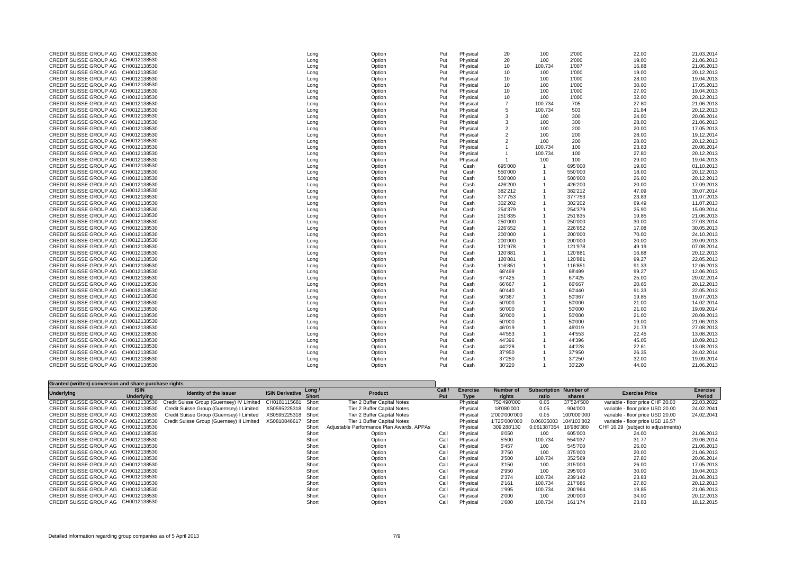| CREDIT SUISSE GROUP AG CH0012138530                                        | Long | Option           | Put        | Physical | 20      | 100     | 2'000   | 22.00          | 21.03.2014               |
|----------------------------------------------------------------------------|------|------------------|------------|----------|---------|---------|---------|----------------|--------------------------|
| CREDIT SUISSE GROUP AG CH0012138530                                        | Long | Option           | Put        | Physical | 20      | 100     | 2'000   | 19.00          | 21.06.2013               |
| CREDIT SUISSE GROUP AG CH0012138530                                        | Long | Option           | Put        | Physical | 10      | 100.734 | 1'007   | 16.88          | 21.06.2013               |
| CREDIT SUISSE GROUP AG CH0012138530                                        | Long | Option           | Put        | Physical | 10      | 100     | 1'000   | 19.00          | 20.12.2013               |
| CREDIT SUISSE GROUP AG CH0012138530                                        |      |                  | Put        |          | 10      |         |         | 28.00          | 19.04.2013               |
| CREDIT SUISSE GROUP AG CH0012138530                                        | Long | Option           |            | Physical |         | 100     | 1'000   |                |                          |
|                                                                            | Long | Option           | Put        | Physical | 10      | 100     | 1'000   | 30.00          | 17.05.2013               |
| CREDIT SUISSE GROUP AG CH0012138530                                        | Long | Option           | Put        | Physical | 10      | 100     | 1'000   | 27.00          | 19.04.2013               |
| CREDIT SUISSE GROUP AG CH0012138530                                        | Long | Option           | Put        | Physical | 10      | 100     | 1'000   | 32.00          | 20.12.2013               |
| CREDIT SUISSE GROUP AG CH0012138530                                        | Long | Option           | Put        | Physical |         | 100.734 | 705     | 27.80          | 21.06.2013               |
| CREDIT SUISSE GROUP AG CH0012138530                                        | Long | Option           | Put        | Physical |         | 100.734 | 503     | 21.84          | 20.12.2013               |
| CREDIT SUISSE GROUP AG CH0012138530                                        | Long | Option           | Put        | Physical |         | 100     | 300     | 24.00          | 20.06.2014               |
| CREDIT SUISSE GROUP AG CH0012138530                                        | Long | Option           | Put        | Physical |         | 100     | 300     | 28.00          | 21.06.2013               |
| CREDIT SUISSE GROUP AG CH0012138530                                        | Long | Option           | Put        | Physical |         | 100     | 200     | 20.00          | 17.05.2013               |
| CREDIT SUISSE GROUP AG CH0012138530                                        | Long | Option           | Put        | Physical |         | 100     | 200     | 28.00          | 19.12.2014               |
| CREDIT SUISSE GROUP AG CH0012138530                                        | Long | Option           | Put        | Physical |         | 100     | 200     | 28.00          | 20.12.2013               |
| CREDIT SUISSE GROUP AG CH0012138530                                        | Long | Option           | Put        | Physical |         | 100.734 | 100     | 23.83          | 20.06.2014               |
| CREDIT SUISSE GROUP AG CH0012138530                                        | Long | Option           | Put        | Physical |         | 100.734 | 100     | 27.80          | 20.12.2013               |
| CREDIT SUISSE GROUP AG CH0012138530                                        | Long | Option           | Put        | Physical |         | 100     | 100     | 29.00          | 19.04.2013               |
| CREDIT SUISSE GROUP AG CH0012138530                                        | Long | Option           | Put        | Cash     | 695'000 |         | 695'000 | 19.00          | 01.10.2013               |
| CREDIT SUISSE GROUP AG CH0012138530                                        | Long | Option           | Put        | Cash     | 550'000 |         | 550'000 | 18.00          | 20.12.2013               |
| CREDIT SUISSE GROUP AG CH0012138530                                        | Long | Option           | Put        | Cash     | 500'000 |         | 500'000 | 26.00          | 20.12.2013               |
| CREDIT SUISSE GROUP AG CH0012138530                                        | Long | Option           | Put        | Cash     | 426'200 |         | 426'200 | 20.00          | 17.09.2013               |
| CREDIT SUISSE GROUP AG CH0012138530                                        | Long | Option           | Put        | Cash     | 382'212 |         | 382'212 | 47.09          | 30.07.2014               |
| CREDIT SUISSE GROUP AG CH0012138530                                        | Long | Option           | Put        | Cash     | 377'753 |         | 377'753 | 23.83          | 11.07.2013               |
| CREDIT SUISSE GROUP AG CH0012138530                                        | Long | Option           | Put        | Cash     | 302'202 |         | 302'202 | 69.49          | 11.07.2013               |
| CREDIT SUISSE GROUP AG CH0012138530                                        | Long | Option           | Put        | Cash     | 254'379 |         | 254'379 | 25.90          | 15.09.2014               |
| CREDIT SUISSE GROUP AG CH0012138530                                        | Long | Option           | Put        | Cash     | 251'835 |         | 251'835 | 19.85          | 21.06.2013               |
| CREDIT SUISSE GROUP AG CH0012138530                                        | Long | Option           | Put        | Cash     | 250'000 |         | 250'000 | 30.00          | 27.03.2014               |
| CREDIT SUISSE GROUP AG CH0012138530                                        | Long | Option           | Put        | Cash     | 226'652 |         | 226'652 | 17.08          | 30.05.2013               |
| CREDIT SUISSE GROUP AG CH0012138530                                        | Long | Option           | Put        | Cash     | 200'000 |         | 200'000 | 70.00          | 24.10.2013               |
| CREDIT SUISSE GROUP AG CH0012138530                                        | Long | Option           | Put        | Cash     | 200'000 |         | 200'000 | 20.00          | 20.09.2013               |
| CREDIT SUISSE GROUP AG CH0012138530                                        | Long | Option           | Put        | Cash     | 121'978 |         | 121'978 | 49.19          | 07.08.2014               |
| CREDIT SUISSE GROUP AG CH0012138530                                        | Long | Option           | Put        | Cash     | 120'881 |         | 120'881 | 16.88          | 20.12.2013               |
| CREDIT SUISSE GROUP AG CH0012138530                                        | Long | Option           | Put        | Cash     | 120'881 |         | 120'881 | 99.27          | 22.05.2013               |
| CREDIT SUISSE GROUP AG CH0012138530                                        | Long | Option           | Put        | Cash     | 116'851 |         | 116'851 | 91.33          | 12.06.2013               |
| CREDIT SUISSE GROUP AG CH0012138530                                        | Long | Option           | Put        | Cash     | 68'499  |         | 68'499  | 99.27          | 12.06.2013               |
| CREDIT SUISSE GROUP AG CH0012138530                                        | Long | Option           | Put        | Cash     | 67'425  |         | 67'425  | 25.00          | 20.02.2014               |
| CREDIT SUISSE GROUP AG CH0012138530                                        |      |                  |            | Cash     | 66'667  |         | 66'667  |                |                          |
| CREDIT SUISSE GROUP AG CH0012138530                                        | Long | Option<br>Option | Put<br>Put | Cash     | 60'440  |         | 60'440  | 20.65<br>91.33 | 20.12.2013<br>22.05.2013 |
| CREDIT SUISSE GROUP AG CH0012138530                                        | Long |                  |            |          |         |         |         |                |                          |
|                                                                            | Long | Option           | Put        | Cash     | 50'367  |         | 50'367  | 19.85          | 19.07.2013               |
| CREDIT SUISSE GROUP AG CH0012138530<br>CREDIT SUISSE GROUP AG CH0012138530 | Long | Option           | Put        | Cash     | 50'000  |         | 50'000  | 21.00          | 14.02.2014               |
|                                                                            | Long | Option           | Put        | Cash     | 50'000  |         | 50'000  | 21.00          | 19.09.2014               |
| CREDIT SUISSE GROUP AG CH0012138530                                        | Long | Option           | Put        | Cash     | 50'000  |         | 50'000  | 21.00          | 20.09.2013               |
| CREDIT SUISSE GROUP AG CH0012138530                                        | Long | Option           | Put        | Cash     | 50'000  |         | 50'000  | 19.00          | 21.06.2013               |
| CREDIT SUISSE GROUP AG CH0012138530                                        | Long | Option           | Put        | Cash     | 46'019  |         | 46'019  | 21.73          | 27.08.2013               |
| CREDIT SUISSE GROUP AG CH0012138530                                        | Long | Option           | Put        | Cash     | 44'553  |         | 44'553  | 22.45          | 13.08.2013               |
| CREDIT SUISSE GROUP AG CH0012138530                                        | Long | Option           | Put        | Cash     | 44'396  |         | 44'396  | 45.05          | 10.09.2013               |
| CREDIT SUISSE GROUP AG CH0012138530                                        | Long | Option           | Put        | Cash     | 44'228  |         | 44'228  | 22.61          | 13.08.2013               |
| CREDIT SUISSE GROUP AG CH0012138530                                        | Long | Option           | Put        | Cash     | 37'950  |         | 37'950  | 26.35          | 24.02.2014               |
| CREDIT SUISSE GROUP AG CH0012138530                                        | Long | Option           | Put        | Cash     | 37'250  |         | 37'250  | 32.00          | 19.09.2014               |
| CREDIT SUISSE GROUP AG CH0012138530                                        | Long | Option           | Put        | Cash     | 30'220  |         | 30'220  | 44.00          | 21.06.2013               |
|                                                                            |      |                  |            |          |         |         |         |                |                          |

| Granted (written) conversion and share purchase rights |                   |                                           |                        |              |                                           |      |                 |               |                               |             |                                    |                 |
|--------------------------------------------------------|-------------------|-------------------------------------------|------------------------|--------------|-------------------------------------------|------|-----------------|---------------|-------------------------------|-------------|------------------------------------|-----------------|
| <b>Underlying</b>                                      | <b>ISIN</b>       | <b>Identity of the Issuer</b>             | <b>ISIN Derivative</b> | Long /       | <b>Product</b>                            | Call | <b>Exercise</b> | Number of     | <b>Subscription Number of</b> |             | <b>Exercise Price</b>              | <b>Exercise</b> |
|                                                        | <b>Underlying</b> |                                           |                        | <b>Short</b> | Put<br>Type                               |      | rights          | ratio         | shares                        |             | <b>Period</b>                      |                 |
| <b>CREDIT SUISSE GROUP AG</b>                          | CH0012138530      | Credit Suisse Group (Guernsey) IV Limited | CH0181115681           | Short        | Tier 2 Buffer Capital Notes               |      | Physical        | 750'490'000   | 0.05                          | 37'524'500  | variable - floor price CHF 20.00   | 22.03.2022      |
| CREDIT SUISSE GROUP AG CH0012138530                    |                   | Credit Suisse Group (Guernsey) I Limited  | XS0595225318           | Short        | Tier 2 Buffer Capital Notes               |      | Physical        | 18'080'000    | 0.05                          | 904'000     | variable - floor price USD 20.00   | 24.02.2041      |
| CREDIT SUISSE GROUP AG                                 | CH0012138530      | Credit Suisse Group (Guernsey) I Limited  | XS0595225318           | Short        | Tier 2 Buffer Capital Notes               |      | Physical        | 2'000'000'000 | 0.05                          | 100'000'000 | variable - floor price USD 20.00   | 24.02.2041      |
| CREDIT SUISSE GROUP AG CH0012138530                    |                   | Credit Suisse Group (Guernsey) II Limited | XS0810846617           | Short        | Tier 1 Buffer Capital Notes               |      | Physical        | 1'725'000'000 | 0.06035003                    | 104'103'802 | variable - floor price USD 16.57   |                 |
| CREDIT SUISSE GROUP AG CH0012138530                    |                   |                                           |                        | Short        | Adjustable Performance Plan Awards, APPAs |      | Physical        | 309'288'130   | 0.061387354                   | 18'986'380  | CHF 16.29 (subject to adjustments) |                 |
| CREDIT SUISSE GROUP AG CH0012138530                    |                   |                                           |                        | Short        | Option                                    | Call | Physical        | 6'050         | 100                           | 605'000     | 24.00                              | 21.06.2013      |
| CREDIT SUISSE GROUP AG CH0012138530                    |                   |                                           |                        | Short        | Option                                    | Call | Physical        | 5'500         | 100.734                       | 554'037     | 31.77                              | 20.06.2014      |
| CREDIT SUISSE GROUP AG CH0012138530                    |                   |                                           |                        | Short        | Option                                    | Call | Physical        | 5'457         | 100                           | 545'700     | 26.00                              | 21.06.2013      |
| CREDIT SUISSE GROUP AG CH0012138530                    |                   |                                           |                        | Short        | Option                                    | Call | Physical        | 3'750         | 100                           | 375'000     | 20.00                              | 21.06.2013      |
| CREDIT SUISSE GROUP AG CH0012138530                    |                   |                                           |                        | Short        | Option                                    | Call | Physical        | 3'500         | 100.734                       | 352'569     | 27.80                              | 20.06.2014      |
| CREDIT SUISSE GROUP AG CH0012138530                    |                   |                                           |                        | Short        | Option                                    | Call | Physical        | 3'150         | 100                           | 315'000     | 26.00                              | 17.05.2013      |
| CREDIT SUISSE GROUP AG CH0012138530                    |                   |                                           |                        | Short        | Option                                    | Call | Physical        | 2'950         | 100                           | 295'000     | 30.00                              | 19.04.2013      |
| CREDIT SUISSE GROUP AG CH0012138530                    |                   |                                           |                        | Short        | Option                                    | Call | Physical        | 2'374         | 100.734                       | 239'142     | 23.83                              | 21.06.2013      |
| CREDIT SUISSE GROUP AG CH0012138530                    |                   |                                           |                        | Short        | Option                                    | Call | Physical        | 2'161         | 100.734                       | 217'686     | 27.80                              | 20.12.2013      |
| CREDIT SUISSE GROUP AG CH0012138530                    |                   |                                           |                        | Short        | Option                                    | Call | Physical        | 1'995         | 100.734                       | 200'964     | 19.85                              | 21.06.2013      |
| CREDIT SUISSE GROUP AG CH0012138530                    |                   |                                           |                        | Short        | Option                                    | Call | Physical        | 2'000         | 100                           | 200'000     | 34.00                              | 20.12.2013      |
| CREDIT SUISSE GROUP AG CH0012138530                    |                   |                                           |                        | Short        | Option                                    | Call | Physical        | 1'600         | 100.734                       | 161'174     | 23.83                              | 18.12.2015      |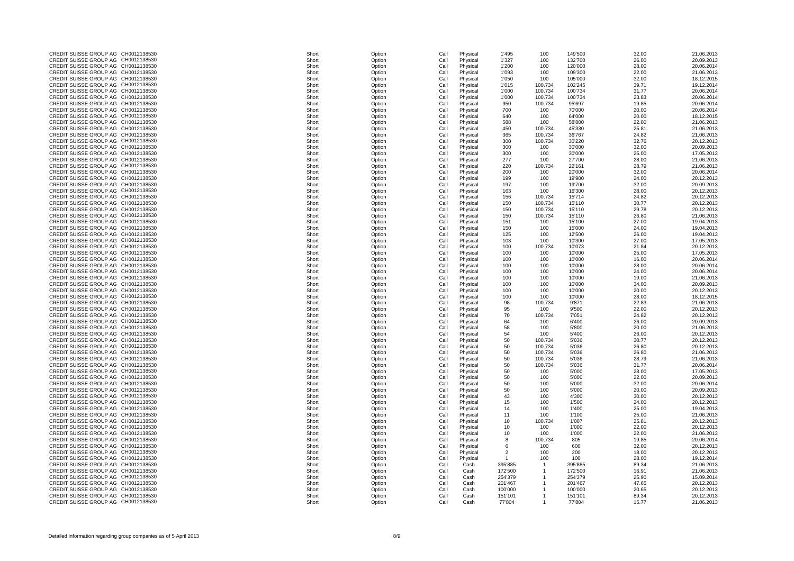| CREDIT SUISSE GROUP AG CH0012138530 | Short | Option | Call | Physical | 1'495   | 100     | 149'500 | 32.00 | 21.06.2013 |
|-------------------------------------|-------|--------|------|----------|---------|---------|---------|-------|------------|
| CREDIT SUISSE GROUP AG CH0012138530 | Short | Option | Call | Physical | 1'327   | 100     | 132'700 | 26.00 | 20.09.2013 |
| CREDIT SUISSE GROUP AG CH0012138530 | Short |        |      |          |         |         | 120'000 | 28.00 | 20.06.2014 |
|                                     |       | Option | Call | Physical | 1'200   | 100     |         |       |            |
| CREDIT SUISSE GROUP AG CH0012138530 | Short | Option | Call | Physical | 1'093   | 100     | 109'300 | 22.00 | 21.06.2013 |
| CREDIT SUISSE GROUP AG CH0012138530 | Short | Option | Call | Physical | 1'050   | 100     | 105'000 | 32.00 | 18.12.2015 |
| CREDIT SUISSE GROUP AG CH0012138530 | Short | Option | Call | Physical | 1'015   | 100.734 | 102'245 | 39.71 | 19.12.2014 |
| CREDIT SUISSE GROUP AG CH0012138530 | Short | Option | Call | Physical | 1'000   | 100.734 | 100'734 | 31.77 | 20.06.2014 |
|                                     |       |        |      |          |         |         |         |       |            |
| CREDIT SUISSE GROUP AG CH0012138530 | Short | Option | Call | Physical | 1'000   | 100.734 | 100'734 | 23.83 | 20.06.2014 |
| CREDIT SUISSE GROUP AG CH0012138530 | Short | Option | Call | Physical | 950     | 100.734 | 95'697  | 19.85 | 20.06.2014 |
| CREDIT SUISSE GROUP AG CH0012138530 | Short | Option | Call | Physical | 700     | 100     | 70'000  | 20.00 | 20.06.2014 |
| CREDIT SUISSE GROUP AG CH0012138530 | Short | Option | Call | Physical | 640     | 100     | 64'000  | 20.00 | 18.12.2015 |
|                                     |       |        |      |          |         |         |         |       |            |
| CREDIT SUISSE GROUP AG CH0012138530 | Short | Option | Call | Physical | 588     | 100     | 58'800  | 22.00 | 21.06.2013 |
| CREDIT SUISSE GROUP AG CH0012138530 | Short | Option | Call | Physical | 450     | 100.734 | 45'330  | 25.81 | 21.06.2013 |
| CREDIT SUISSE GROUP AG CH0012138530 | Short | Option | Call | Physical | 365     | 100.734 | 36'767  | 24.82 | 21.06.2013 |
| CREDIT SUISSE GROUP AG CH0012138530 | Short | Option | Call | Physical | 300     | 100.734 | 30'220  | 32.76 | 20.12.2013 |
| CREDIT SUISSE GROUP AG CH0012138530 | Short |        |      |          |         |         | 30'000  | 32.00 | 20.09.2013 |
|                                     |       | Option | Call | Physical | 300     | 100     |         |       |            |
| CREDIT SUISSE GROUP AG CH0012138530 | Short | Option | Call | Physical | 300     | 100     | 30'000  | 25.00 | 17.05.2013 |
| CREDIT SUISSE GROUP AG CH0012138530 | Short | Option | Call | Physical | 277     | 100     | 27'700  | 28.00 | 21.06.2013 |
| CREDIT SUISSE GROUP AG CH0012138530 | Short | Option | Call | Physical | 220     | 100.734 | 22'161  | 28.79 | 21.06.2013 |
| CREDIT SUISSE GROUP AG CH0012138530 | Short |        |      |          |         |         |         |       | 20.06.2014 |
|                                     |       | Option | Call | Physical | 200     | 100     | 20'000  | 32.00 |            |
| CREDIT SUISSE GROUP AG CH0012138530 | Short | Option | Call | Physical | 199     | 100     | 19'900  | 24.00 | 20.12.2013 |
| CREDIT SUISSE GROUP AG CH0012138530 | Short | Option | Call | Physical | 197     | 100     | 19'700  | 32.00 | 20.09.2013 |
| CREDIT SUISSE GROUP AG CH0012138530 | Short | Option | Call | Physical | 163     | 100     | 16'300  | 28.00 | 20.12.2013 |
| CREDIT SUISSE GROUP AG CH0012138530 | Short |        | Call |          |         | 100.734 | 15'714  | 24.82 | 20.12.2013 |
|                                     |       | Option |      | Physical | 156     |         |         |       |            |
| CREDIT SUISSE GROUP AG CH0012138530 | Short | Option | Call | Physical | 150     | 100.734 | 15'110  | 30.77 | 20.12.2013 |
| CREDIT SUISSE GROUP AG CH0012138530 | Short | Option | Call | Physical | 150     | 100.734 | 15'110  | 29.78 | 20.12.2013 |
| CREDIT SUISSE GROUP AG CH0012138530 | Short | Option | Call | Physical | 150     | 100.734 | 15'110  | 26.80 | 21.06.2013 |
| CREDIT SUISSE GROUP AG CH0012138530 |       |        |      |          |         |         |         | 27.00 |            |
|                                     | Short | Option | Call | Physical | 151     | 100     | 15'100  |       | 19.04.2013 |
| CREDIT SUISSE GROUP AG CH0012138530 | Short | Option | Call | Physical | 150     | 100     | 15'000  | 24.00 | 19.04.2013 |
| CREDIT SUISSE GROUP AG CH0012138530 | Short | Option | Call | Physical | 125     | 100     | 12'500  | 26.00 | 19.04.2013 |
| CREDIT SUISSE GROUP AG CH0012138530 | Short | Option | Call | Physical | 103     | 100     | 10'300  | 27.00 | 17.05.2013 |
| CREDIT SUISSE GROUP AG CH0012138530 | Short | Option | Call |          | 100     | 100.734 | 10'073  | 21.84 | 20.12.2013 |
|                                     |       |        |      | Physical |         |         |         |       |            |
| CREDIT SUISSE GROUP AG CH0012138530 | Short | Option | Call | Physical | 100     | 100     | 10'000  | 25.00 | 17.05.2013 |
| CREDIT SUISSE GROUP AG CH0012138530 | Short | Option | Call | Physical | 100     | 100     | 10'000  | 16.00 | 20.06.2014 |
| CREDIT SUISSE GROUP AG CH0012138530 | Short | Option | Call | Physical | 100     | 100     | 10'000  | 28.00 | 20.06.2014 |
| CREDIT SUISSE GROUP AG CH0012138530 | Short | Option | Call | Physical | 100     | 100     | 10'000  | 24.00 | 20.06.2014 |
|                                     |       |        |      |          |         |         |         |       |            |
| CREDIT SUISSE GROUP AG CH0012138530 | Short | Option | Call | Physical | 100     | 100     | 10'000  | 19.00 | 21.06.2013 |
| CREDIT SUISSE GROUP AG CH0012138530 | Short | Option | Call | Physical | 100     | 100     | 10'000  | 34.00 | 20.09.2013 |
| CREDIT SUISSE GROUP AG CH0012138530 | Short | Option | Call | Physical | 100     | 100     | 10'000  | 20.00 | 20.12.2013 |
| CREDIT SUISSE GROUP AG CH0012138530 | Short | Option | Call | Physical | 100     | 100     | 10'000  | 28.00 | 18.12.2015 |
|                                     |       |        |      |          |         |         |         |       |            |
| CREDIT SUISSE GROUP AG CH0012138530 | Short | Option | Call | Physical | 98      | 100.734 | 9'871   | 22.83 | 21.06.2013 |
| CREDIT SUISSE GROUP AG CH0012138530 | Short | Option | Call | Physical | 95      | 100     | 9'500   | 22.00 | 20.12.2013 |
| CREDIT SUISSE GROUP AG CH0012138530 | Short | Option | Call | Physical | 70      | 100.734 | 7'051   | 24.82 | 20.12.2013 |
| CREDIT SUISSE GROUP AG CH0012138530 | Short | Option | Call | Physical | 64      | 100     | 6'400   | 26.00 | 20.09.2013 |
|                                     |       |        |      |          |         |         |         |       |            |
| CREDIT SUISSE GROUP AG CH0012138530 | Short | Option | Call | Physical |         | 100     | 5'800   | 20.00 | 21.06.2013 |
| CREDIT SUISSE GROUP AG CH0012138530 | Short | Option | Call | Physical | 54      | 100     | 5'400   | 26.00 | 20.12.2013 |
| CREDIT SUISSE GROUP AG CH0012138530 | Short | Option | Call | Physical | 50      | 100.734 | 5'036   | 30.77 | 20.12.2013 |
| CREDIT SUISSE GROUP AG CH0012138530 | Short | Option | Call | Physical | 50      | 100.734 | 5'036   | 26.80 | 20.12.2013 |
| CREDIT SUISSE GROUP AG CH0012138530 | Short |        | Call |          |         | 100.734 | 5'036   | 26.80 | 21.06.2013 |
|                                     |       | Option |      | Physical | 50      |         |         |       |            |
| CREDIT SUISSE GROUP AG CH0012138530 | Short | Option | Call | Physical | 50      | 100.734 | 5'036   | 28.79 | 21.06.2013 |
| CREDIT SUISSE GROUP AG CH0012138530 | Short | Option | Call | Physical | 50      | 100.734 | 5'036   | 31.77 | 20.06.2014 |
| CREDIT SUISSE GROUP AG CH0012138530 | Short | Option | Call | Physical | 50      | 100     | 5'000   | 28.00 | 17.05.2013 |
| CREDIT SUISSE GROUP AG CH0012138530 | Short | Option | Call | Physical | 50      | 100     | 5'000   | 22.00 | 20.09.2013 |
|                                     |       |        |      |          |         |         |         |       |            |
| CREDIT SUISSE GROUP AG CH0012138530 | Short | Option | Call | Physical | 50      | 100     | 5'000   | 32.00 | 20.06.2014 |
| CREDIT SUISSE GROUP AG CH0012138530 | Short | Option | Call | Physical | 50      | 100     | 5'000   | 20.00 | 20.09.2013 |
| CREDIT SUISSE GROUP AG CH0012138530 | Short | Option | Call | Physical | 43      | 100     | 4'300   | 30.00 | 20.12.2013 |
| CREDIT SUISSE GROUP AG CH0012138530 | Short | Option | Call | Physical | 15      | 100     | 1'500   | 24.00 | 20.12.2013 |
| CREDIT SUISSE GROUP AG CH0012138530 | Short | Option | Call | Physical | 14      | 100     | 1'400   | 25.00 | 19.04.2013 |
|                                     |       |        |      |          |         |         |         |       |            |
| CREDIT SUISSE GROUP AG CH0012138530 | Short | Option | Call | Physical | 11      | 100     | 1'100   | 25.00 | 21.06.2013 |
| CREDIT SUISSE GROUP AG CH0012138530 | Short | Option | Call | Physical | 10      | 100.734 | 1'007   | 25.81 | 20.12.2013 |
| CREDIT SUISSE GROUP AG CH0012138530 | Short | Option | Call | Physical | 10      | 100     | 1'000   | 22.00 | 20.12.2013 |
| CREDIT SUISSE GROUP AG CH0012138530 | Short | Option | Call | Physical | 10      | 100     | 1'000   | 22.00 | 21.06.2013 |
|                                     |       |        |      |          |         |         |         |       |            |
| CREDIT SUISSE GROUP AG CH0012138530 | Short | Option | Call | Physical | 8       | 100.734 | 805     | 19.85 | 20.06.2014 |
| CREDIT SUISSE GROUP AG CH0012138530 | Short | Option | Call | Physical |         | 100     | 600     | 32.00 | 20.12.2013 |
| CREDIT SUISSE GROUP AG CH0012138530 | Short | Option | Call | Physical |         | 100     | 200     | 18.00 | 20.12.2013 |
| CREDIT SUISSE GROUP AG CH0012138530 | Short | Option | Call | Physical |         | 100     | 100     | 28.00 | 19.12.2014 |
|                                     |       |        |      |          |         |         |         |       |            |
| CREDIT SUISSE GROUP AG CH0012138530 | Short | Option | Call | Cash     | 395'885 |         | 395'885 | 89.34 | 21.06.2013 |
| CREDIT SUISSE GROUP AG CH0012138530 | Short | Option | Call | Cash     | 172'500 |         | 172'500 | 16.91 | 21.06.2013 |
| CREDIT SUISSE GROUP AG CH0012138530 | Short | Option | Call | Cash     | 254'379 |         | 254'379 | 25.90 | 15.09.2014 |
| CREDIT SUISSE GROUP AG CH0012138530 | Short | Option | Call | Cash     | 201'467 |         | 201'467 | 47.65 | 20.12.2013 |
| CREDIT SUISSE GROUP AG CH0012138530 | Short | Option |      | Cash     | 100'000 |         | 100'000 | 20.65 | 20.12.2013 |
|                                     |       |        | Call |          |         |         |         |       |            |
| CREDIT SUISSE GROUP AG CH0012138530 | Short | Option | Call | Cash     | 151'101 |         | 151'101 | 89.34 | 20.12.2013 |
| CREDIT SUISSE GROUP AG CH0012138530 | Short | Option | Call | Cash     | 77'804  |         | 77'804  | 15.77 | 21.06.2013 |
|                                     |       |        |      |          |         |         |         |       |            |

| CREDIT SUISSE GROUP AG CH0012138530           | Short<br>Option<br>Call | Physical | 1'495          |
|-----------------------------------------------|-------------------------|----------|----------------|
| <b>CREDIT SUISSE GROUP AG</b><br>CH0012138530 | Short<br>Call           | Physical | 1'327          |
|                                               | Option                  |          |                |
| CREDIT SUISSE GROUP AG CH0012138530           | Short<br>Call<br>Option | Physical | 1'200          |
| CREDIT SUISSE GROUP AG CH0012138530           | Short<br>Option<br>Call | Physical | 1'093          |
| CREDIT SUISSE GROUP AG CH0012138530           | Short<br>Call<br>Option | Physical | 1'050          |
| CREDIT SUISSE GROUP AG CH0012138530           | Short<br>Call<br>Option | Physical | 1'015          |
| CREDIT SUISSE GROUP AG CH0012138530           | Short<br>Call<br>Option | Physical | 1'000          |
| CREDIT SUISSE GROUP AG CH0012138530           | Short<br>Call<br>Option | Physical | 1'000          |
| CREDIT SUISSE GROUP AG CH0012138530           | Short<br>Call<br>Option | Physical | 950            |
| CREDIT SUISSE GROUP AG CH0012138530           | Short<br>Call<br>Option | Physical | 700            |
| CREDIT SUISSE GROUP AG CH0012138530           | Short<br>Call<br>Option | Physical | 640            |
| CREDIT SUISSE GROUP AG CH0012138530           | Short<br>Call<br>Option | Physical | 588            |
|                                               |                         |          |                |
| CREDIT SUISSE GROUP AG CH0012138530           | Short<br>Call<br>Option | Physical | 450            |
| CREDIT SUISSE GROUP AG CH0012138530           | Short<br>Call<br>Option | Physical | 365            |
| CREDIT SUISSE GROUP AG CH0012138530           | Short<br>Call<br>Option | Physical | 300            |
| CREDIT SUISSE GROUP AG CH0012138530           | Short<br>Call<br>Option | Physical | 300            |
| CREDIT SUISSE GROUP AG<br>CH0012138530        | Short<br>Call<br>Option | Physical | 300            |
| CREDIT SUISSE GROUP AG<br>CH0012138530        | Short<br>Option<br>Call | Physical | 277            |
| CREDIT SUISSE GROUP AG<br>CH0012138530        | Short<br>Option<br>Call | Physical | 220            |
| CREDIT SUISSE GROUP AG CH0012138530           | Short<br>Option<br>Call | Physical | 200            |
| CREDIT SUISSE GROUP AG CH0012138530           | Short<br>Option<br>Call | Physical | 199            |
| CREDIT SUISSE GROUP AG CH0012138530           |                         |          |                |
|                                               | Short<br>Option<br>Call | Physical | 197            |
| CREDIT SUISSE GROUP AG CH0012138530           | Short<br>Option<br>Call | Physical | 163            |
| CREDIT SUISSE GROUP AG CH0012138530           | Short<br>Option<br>Call | Physical | 156            |
| CREDIT SUISSE GROUP AG CH0012138530           | Short<br>Option<br>Call | Physical | 150            |
| CREDIT SUISSE GROUP AG CH0012138530           | Short<br>Call<br>Option | Physical | 150            |
| CREDIT SUISSE GROUP AG CH0012138530           | Short<br>Call<br>Option | Physical | 150            |
| CREDIT SUISSE GROUP AG CH0012138530           | Short<br>Call<br>Option | Physical | 151            |
| CREDIT SUISSE GROUP AG<br>CH0012138530        | Short<br>Call<br>Option | Physical | 150            |
| CREDIT SUISSE GROUP AG CH0012138530           | Short                   |          |                |
|                                               | Call<br>Option          | Physical | 125            |
| CREDIT SUISSE GROUP AG<br>CH0012138530        | Short<br>Call<br>Option | Physical | 103            |
| CREDIT SUISSE GROUP AG<br>CH0012138530        | Short<br>Call<br>Option | Physical | 100            |
| CREDIT SUISSE GROUP AG CH0012138530           | Short<br>Call<br>Option | Physical | 100            |
| CREDIT SUISSE GROUP AG CH0012138530           | Short<br>Call<br>Option | Physical | 100            |
| CREDIT SUISSE GROUP AG CH0012138530           | Short<br>Call<br>Option | Physical | 100            |
| CREDIT SUISSE GROUP AG CH0012138530           | Short<br>Call<br>Option | Physical | 100            |
| CREDIT SUISSE GROUP AG CH0012138530           | Short<br>Option<br>Call | Physical | 100            |
| CREDIT SUISSE GROUP AG CH0012138530           | Short<br>Option<br>Call | Physical | 100            |
| CREDIT SUISSE GROUP AG CH0012138530           | Short<br>Call           |          | 100            |
|                                               | Option                  | Physical |                |
| CREDIT SUISSE GROUP AG CH0012138530           | Short<br>Call<br>Option | Physical | 100            |
| CREDIT SUISSE GROUP AG CH0012138530           | Short<br>Call<br>Option | Physical | 98             |
| CREDIT SUISSE GROUP AG CH0012138530           | Short<br>Call<br>Option | Physical | 95             |
| CREDIT SUISSE GROUP AG CH0012138530           | Short<br>Call<br>Option | Physical | 70             |
| CREDIT SUISSE GROUP AG CH0012138530           | Short<br>Call<br>Option | Physical | 64             |
| CREDIT SUISSE GROUP AG CH0012138530           | Short<br>Option<br>Call | Physical | 58             |
| CREDIT SUISSE GROUP AG CH0012138530           | Short<br>Call<br>Option | Physical | 54             |
| CREDIT SUISSE GROUP AG CH0012138530           | Short<br>Option<br>Call | Physical | 50             |
| CREDIT SUISSE GROUP AG CH0012138530           | Short<br>Call<br>Option | Physical | 50             |
| CREDIT SUISSE GROUP AG CH0012138530           | Short<br>Call           |          |                |
|                                               | Option                  | Physical | 50             |
| CREDIT SUISSE GROUP AG CH0012138530           | Short<br>Call<br>Option | Physical | 50             |
| CREDIT SUISSE GROUP AG CH0012138530           | Short<br>Option<br>Call | Physical | 50             |
| CREDIT SUISSE GROUP AG CH0012138530           | Short<br>Call<br>Option | Physical | 50             |
| CREDIT SUISSE GROUP AG CH0012138530           | Short<br>Call<br>Option | Physical | 50             |
| CREDIT SUISSE GROUP AG CH0012138530           | Short<br>Call<br>Option | Physical | 50             |
| CREDIT SUISSE GROUP AG CH0012138530           | Short<br>Call<br>Option | Physical | 50             |
| CREDIT SUISSE GROUP AG CH0012138530           | Short<br>Call<br>Option | Physical | 43             |
| CREDIT SUISSE GROUP AG CH0012138530           | Short<br>Call<br>Option | Physical | 15             |
| CREDIT SUISSE GROUP AG CH0012138530           | Short<br>Call<br>Option | Physical | 14             |
| CREDIT SUISSE GROUP AG CH0012138530           | Short<br>Call           | Physical | 11             |
|                                               | Option                  |          |                |
| CREDIT SUISSE GROUP AG CH0012138530           | Short<br>Call<br>Option | Physical | 10             |
| CREDIT SUISSE GROUP AG CH0012138530           | Short<br>Call<br>Option | Physical | 10             |
| CREDIT SUISSE GROUP AG CH0012138530           | Short<br>Call<br>Option | Physical | 10             |
| CREDIT SUISSE GROUP AG CH0012138530           | Short<br>Call<br>Option | Physical | 8              |
| CREDIT SUISSE GROUP AG CH0012138530           | Short<br>Call<br>Option | Physical | 6              |
| CREDIT SUISSE GROUP AG CH0012138530           | Short<br>Call<br>Option | Physical | $\overline{c}$ |
| CREDIT SUISSE GROUP AG CH0012138530           | Short<br>Call<br>Option | Physical |                |
| CREDIT SUISSE GROUP AG CH0012138530           | Call<br>Short<br>Option | Cash     | 395'885        |
| CREDIT SUISSE GROUP AG CH0012138530           | Short<br>Call<br>Option | Cash     | 172'500        |
| CREDIT SUISSE GROUP AG<br>CH0012138530        | Short<br>Call           | Cash     | 254'379        |
|                                               | Option                  |          |                |
| CREDIT SUISSE GROUP AG CH0012138530           | Call<br>Short<br>Option | Cash     | 201'467        |
| CREDIT SUISSE GROUP AG<br>CH0012138530        | Short<br>Call<br>Option | Cash     | 100'000        |
| CREDIT SUISSE GROUP AG CH0012138530           | Short<br>Call<br>Option | Cash     | 151'101        |

| CREDIT SUISSE GROUP AG CH0012138530 |              | Short | Option | Call |
|-------------------------------------|--------------|-------|--------|------|
| CREDIT SUISSE GROUP AG              | CH0012138530 | Short | Option | Call |
|                                     |              |       |        |      |
| CREDIT SUISSE GROUP AG CH0012138530 |              | Short | Option | Call |
| CREDIT SUISSE GROUP AG CH0012138530 |              | Short | Option | Call |
| CREDIT SUISSE GROUP AG CH0012138530 |              | Short | Option | Call |
| CREDIT SUISSE GROUP AG CH0012138530 |              | Short | Option | Call |
| CREDIT SUISSE GROUP AG              | CH0012138530 | Short | Option | Call |
| <b>CREDIT SUISSE GROUP AG</b>       | CH0012138530 | Short | Option | Call |
| CREDIT SUISSE GROUP AG CH0012138530 |              | Short |        | Call |
|                                     |              |       | Option |      |
| CREDIT SUISSE GROUP AG              | CH0012138530 | Short | Option | Call |
| CREDIT SUISSE GROUP AG              | CH0012138530 | Short | Option | Call |
| CREDIT SUISSE GROUP AG              | CH0012138530 | Short | Option | Call |
| CREDIT SUISSE GROUP AG              | CH0012138530 | Short | Option | Call |
| CREDIT SUISSE GROUP AG              | CH0012138530 | Short | Option | Call |
| CREDIT SUISSE GROUP AG CH0012138530 |              |       |        |      |
|                                     |              | Short | Option | Call |
| CREDIT SUISSE GROUP AG CH0012138530 |              | Short | Option | Call |
| CREDIT SUISSE GROUP AG CH0012138530 |              | Short | Option | Call |
| CREDIT SUISSE GROUP AG CH0012138530 |              | Short | Option | Call |
| CREDIT SUISSE GROUP AG CH0012138530 |              | Short | Option | Call |
| CREDIT SUISSE GROUP AG CH0012138530 |              | Short | Option | Call |
|                                     |              |       |        |      |
| CREDIT SUISSE GROUP AG              | CH0012138530 | Short | Option | Call |
| CREDIT SUISSE GROUP AG              | CH0012138530 | Short | Option | Call |
| <b>CREDIT SUISSE GROUP AG</b>       | CH0012138530 | Short | Option | Call |
| CREDIT SUISSE GROUP AG              | CH0012138530 | Short | Option | Call |
| <b>CREDIT SUISSE GROUP AG</b>       | CH0012138530 | Short | Option | Call |
| <b>CREDIT SUISSE GROUP AG</b>       | CH0012138530 | Short | Option | Call |
|                                     |              |       |        |      |
| <b>CREDIT SUISSE GROUP AG</b>       | CH0012138530 | Short | Option | Call |
| <b>CREDIT SUISSE GROUP AG</b>       | CH0012138530 | Short | Option | Call |
| <b>CREDIT SUISSE GROUP AG</b>       | CH0012138530 | Short | Option | Call |
| CREDIT SUISSE GROUP AG CH0012138530 |              | Short | Option | Call |
| CREDIT SUISSE GROUP AG CH0012138530 |              | Short | Option | Call |
| CREDIT SUISSE GROUP AG CH0012138530 |              | Short | Option | Call |
|                                     |              |       |        |      |
| CREDIT SUISSE GROUP AG CH0012138530 |              | Short | Option | Call |
| CREDIT SUISSE GROUP AG              | CH0012138530 | Short | Option | Call |
| CREDIT SUISSE GROUP AG CH0012138530 |              | Short | Option | Call |
| CREDIT SUISSE GROUP AG CH0012138530 |              | Short | Option | Call |
| CREDIT SUISSE GROUP AG CH0012138530 |              | Short | Option | Call |
| CREDIT SUISSE GROUP AG              | CH0012138530 | Short | Option | Call |
|                                     |              |       |        |      |
| CREDIT SUISSE GROUP AG CH0012138530 |              | Short | Option | Call |
| CREDIT SUISSE GROUP AG              | CH0012138530 | Short | Option | Call |
| CREDIT SUISSE GROUP AG CH0012138530 |              | Short | Option | Call |
| CREDIT SUISSE GROUP AG CH0012138530 |              | Short | Option | Call |
| CREDIT SUISSE GROUP AG CH0012138530 |              | Short | Option | Call |
| CREDIT SUISSE GROUP AG CH0012138530 |              | Short | Option | Call |
|                                     |              |       |        |      |
| CREDIT SUISSE GROUP AG CH0012138530 |              | Short | Option | Call |
| CREDIT SUISSE GROUP AG              | CH0012138530 | Short | Option | Call |
| CREDIT SUISSE GROUP AG              | CH0012138530 | Short | Option | Call |
| CREDIT SUISSE GROUP AG              | CH0012138530 | Short | Option | Call |
| <b>CREDIT SUISSE GROUP AG</b>       | CH0012138530 | Short | Option | Call |
| <b>CREDIT SUISSE GROUP AG</b>       | CH0012138530 | Short | Option | Call |
| CREDIT SUISSE GROUP AG              | CH0012138530 |       | Option |      |
|                                     |              | Short |        | Call |
| CREDIT SUISSE GROUP AG              | CH0012138530 | Short | Option | Call |
| <b>CREDIT SUISSE GROUP AG</b>       | CH0012138530 | Short | Option | Call |
| <b>CREDIT SUISSE GROUP AG</b>       | CH0012138530 | Short | Option | Call |
| <b>CREDIT SUISSE GROUP AG</b>       | CH0012138530 | Short | Option | Call |
| CREDIT SUISSE GROUP AG CH0012138530 |              | Short | Option | Call |
| CREDIT SUISSE GROUP AG CH0012138530 |              | Short | Option | Call |
|                                     |              |       |        |      |
| CREDIT SUISSE GROUP AG CH0012138530 |              | Short | Option | Call |
| CREDIT SUISSE GROUP AG CH0012138530 |              | Short | Option | Call |
| CREDIT SUISSE GROUP AG CH0012138530 |              | Short | Option | Call |
| CREDIT SUISSE GROUP AG CH0012138530 |              | Short | Option | Call |
| CREDIT SUISSE GROUP AG CH0012138530 |              | Short | Option | Call |
| CREDIT SUISSE GROUP AG              | CH0012138530 | Short | Option | Call |
| CREDIT SUISSE GROUP AG CH0012138530 |              |       |        |      |
|                                     |              | Short | Option | Call |
| CREDIT SUISSE GROUP AG CH0012138530 |              | Short | Option | Call |
| CREDIT SUISSE GROUP AG              | CH0012138530 | Short | Option | Call |
| CREDIT SUISSE GROUP AG CH0012138530 |              | Short | Option | Call |
| CREDIT SUISSE GROUP AG CH0012138530 |              | Short | Option | Call |
| CREDIT SUISSE GROUP AG CH0012138530 |              | Short | Option | Call |
| CREDIT SUISSE GROUP AG CH0012138530 |              | Short | Option | Call |
|                                     |              |       |        |      |
| CREDIT SUISSE GROUP AG CH0012138530 |              | Short | Option | Call |
| CREDIT SUISSE GROUP AG              |              |       |        |      |
|                                     | CH0012138530 | Short | Option | Call |
| CREDIT SUISSE GROUP AG CH0012138530 |              | Short | Option | Call |